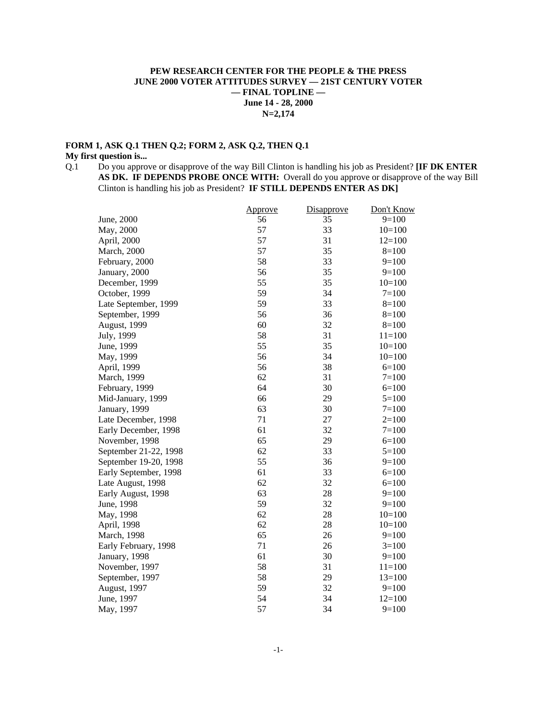## **PEW RESEARCH CENTER FOR THE PEOPLE & THE PRESS JUNE 2000 VOTER ATTITUDES SURVEY — 21ST CENTURY VOTER — FINAL TOPLINE — June 14 - 28, 2000 N=2,174**

## **FORM 1, ASK Q.1 THEN Q.2; FORM 2, ASK Q.2, THEN Q.1 My first question is...**

Q.1 Do you approve or disapprove of the way Bill Clinton is handling his job as President? **[IF DK ENTER AS DK. IF DEPENDS PROBE ONCE WITH:** Overall do you approve or disapprove of the way Bill Clinton is handling his job as President? **IF STILL DEPENDS ENTER AS DK]**

|                       | <u>Approve</u> | <b>Disapprove</b> | Don't Know |
|-----------------------|----------------|-------------------|------------|
| June, 2000            | 56             | 35                | $9=100$    |
| May, 2000             | 57             | 33                | $10=100$   |
| April, 2000           | 57             | 31                | $12=100$   |
| March, 2000           | 57             | 35                | $8=100$    |
| February, 2000        | 58             | 33                | $9=100$    |
| January, 2000         | 56             | 35                | $9=100$    |
| December, 1999        | 55             | 35                | $10=100$   |
| October, 1999         | 59             | 34                | $7 = 100$  |
| Late September, 1999  | 59             | 33                | $8 = 100$  |
| September, 1999       | 56             | 36                | $8=100$    |
| August, 1999          | 60             | 32                | $8=100$    |
| July, 1999            | 58             | 31                | $11 = 100$ |
| June, 1999            | 55             | 35                | $10=100$   |
| May, 1999             | 56             | 34                | $10=100$   |
| April, 1999           | 56             | 38                | $6=100$    |
| March, 1999           | 62             | 31                | $7 = 100$  |
| February, 1999        | 64             | 30                | $6=100$    |
| Mid-January, 1999     | 66             | 29                | $5=100$    |
| January, 1999         | 63             | 30                | $7 = 100$  |
| Late December, 1998   | 71             | 27                | $2=100$    |
| Early December, 1998  | 61             | 32                | $7 = 100$  |
| November, 1998        | 65             | 29                | $6=100$    |
| September 21-22, 1998 | 62             | 33                | $5=100$    |
| September 19-20, 1998 | 55             | 36                | $9=100$    |
| Early September, 1998 | 61             | 33                | $6=100$    |
| Late August, 1998     | 62             | 32                | $6=100$    |
| Early August, 1998    | 63             | 28                | $9=100$    |
| June, 1998            | 59             | 32                | $9=100$    |
| May, 1998             | 62             | 28                | $10=100$   |
| April, 1998           | 62             | 28                | $10=100$   |
| March, 1998           | 65             | 26                | $9=100$    |
| Early February, 1998  | 71             | 26                | $3=100$    |
| January, 1998         | 61             | 30                | $9=100$    |
| November, 1997        | 58             | 31                | $11=100$   |
| September, 1997       | 58             | 29                | $13=100$   |
| August, 1997          | 59             | 32                | $9=100$    |
| June, 1997            | 54             | 34                | $12=100$   |
| May, 1997             | 57             | 34                | $9=100$    |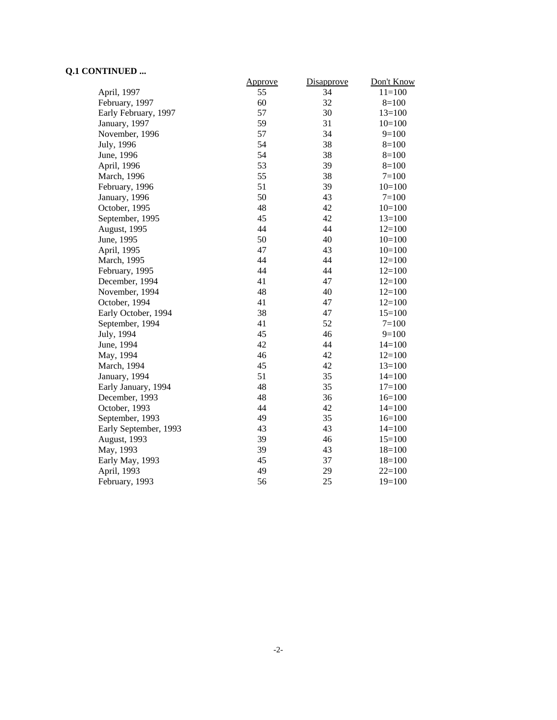# **Q.1 CONTINUED ...**

|                       | Approve | Disapprove | Don't Know |
|-----------------------|---------|------------|------------|
| April, 1997           | 55      | 34         | $11=100$   |
| February, 1997        | 60      | 32         | $8=100$    |
| Early February, 1997  | 57      | 30         | $13=100$   |
| January, 1997         | 59      | 31         | $10=100$   |
| November, 1996        | 57      | 34         | $9=100$    |
| July, 1996            | 54      | 38         | $8=100$    |
| June, 1996            | 54      | 38         | $8=100$    |
| April, 1996           | 53      | 39         | $8=100$    |
| March, 1996           | 55      | 38         | $7 = 100$  |
| February, 1996        | 51      | 39         | $10=100$   |
| January, 1996         | 50      | 43         | $7=100$    |
| October, 1995         | 48      | 42         | $10=100$   |
| September, 1995       | 45      | 42         | $13=100$   |
| August, 1995          | 44      | 44         | $12=100$   |
| June, 1995            | 50      | 40         | $10=100$   |
| April, 1995           | 47      | 43         | $10=100$   |
| March, 1995           | 44      | 44         | $12=100$   |
| February, 1995        | 44      | 44         | $12=100$   |
| December, 1994        | 41      | 47         | $12=100$   |
| November, 1994        | 48      | 40         | $12=100$   |
| October, 1994         | 41      | 47         | $12=100$   |
| Early October, 1994   | 38      | 47         | $15=100$   |
| September, 1994       | 41      | 52         | $7 = 100$  |
| July, 1994            | 45      | 46         | $9=100$    |
| June, 1994            | 42      | 44         | $14=100$   |
| May, 1994             | 46      | 42         | $12=100$   |
| March, 1994           | 45      | 42         | $13=100$   |
| January, 1994         | 51      | 35         | $14=100$   |
| Early January, 1994   | 48      | 35         | $17=100$   |
| December, 1993        | 48      | 36         | $16=100$   |
| October, 1993         | 44      | 42         | $14=100$   |
| September, 1993       | 49      | 35         | $16=100$   |
| Early September, 1993 | 43      | 43         | $14=100$   |
| August, 1993          | 39      | 46         | $15=100$   |
| May, 1993             | 39      | 43         | $18=100$   |
| Early May, 1993       | 45      | 37         | $18=100$   |
| April, 1993           | 49      | 29         | $22=100$   |
| February, 1993        | 56      | 25         | $19=100$   |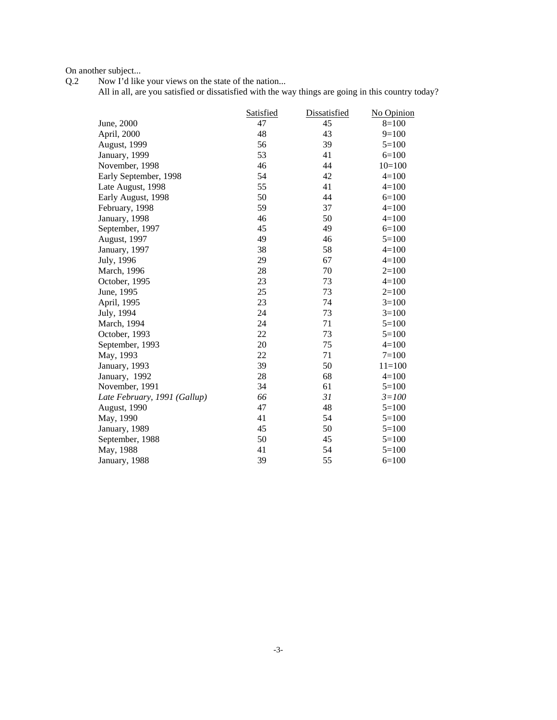On another subject...<br>Q.2 Now I'd like

Q.2 Now I'd like your views on the state of the nation...

All in all, are you satisfied or dissatisfied with the way things are going in this country today?

|                              | Satisfied | Dissatisfied | No Opinion |
|------------------------------|-----------|--------------|------------|
| June, 2000                   | 47        | 45           | $8=100$    |
| April, 2000                  | 48        | 43           | $9=100$    |
| August, 1999                 | 56        | 39           | $5=100$    |
| January, 1999                | 53        | 41           | $6 = 100$  |
| November, 1998               | 46        | 44           | $10=100$   |
| Early September, 1998        | 54        | 42           | $4=100$    |
| Late August, 1998            | 55        | 41           | $4=100$    |
| Early August, 1998           | 50        | 44           | $6=100$    |
| February, 1998               | 59        | 37           | $4 = 100$  |
| January, 1998                | 46        | 50           | $4=100$    |
| September, 1997              | 45        | 49           | $6=100$    |
| August, 1997                 | 49        | 46           | $5=100$    |
| January, 1997                | 38        | 58           | $4=100$    |
| July, 1996                   | 29        | 67           | $4=100$    |
| March, 1996                  | 28        | 70           | $2=100$    |
| October, 1995                | 23        | 73           | $4=100$    |
| June, 1995                   | 25        | 73           | $2=100$    |
| April, 1995                  | 23        | 74           | $3=100$    |
| July, 1994                   | 24        | 73           | $3=100$    |
| March, 1994                  | 24        | 71           | $5=100$    |
| October, 1993                | 22        | 73           | $5=100$    |
| September, 1993              | 20        | 75           | $4=100$    |
| May, 1993                    | 22        | 71           | $7=100$    |
| January, 1993                | 39        | 50           | $11 = 100$ |
| January, 1992                | 28        | 68           | $4=100$    |
| November, 1991               | 34        | 61           | $5=100$    |
| Late February, 1991 (Gallup) | 66        | 31           | $3 = 100$  |
| August, 1990                 | 47        | 48           | $5=100$    |
| May, 1990                    | 41        | 54           | $5=100$    |
| January, 1989                | 45        | 50           | $5=100$    |
| September, 1988              | 50        | 45           | $5=100$    |
| May, 1988                    | 41        | 54           | $5=100$    |
| January, 1988                | 39        | 55           | $6=100$    |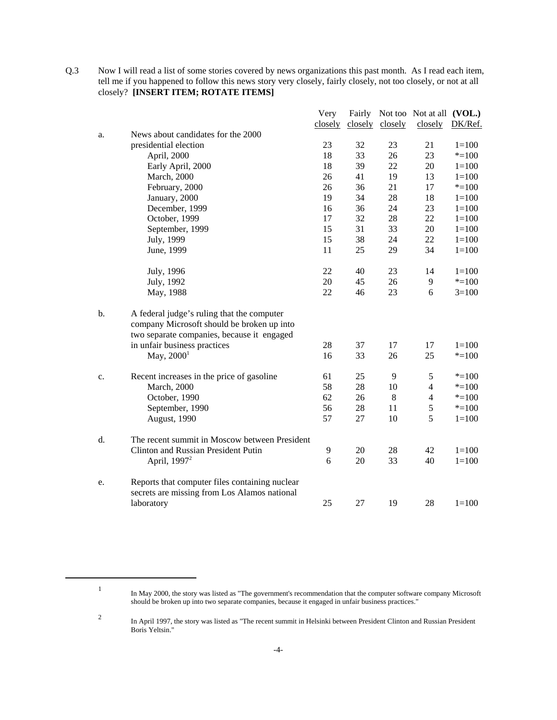Q.3 Now I will read a list of some stories covered by news organizations this past month. As I read each item, tell me if you happened to follow this news story very closely, fairly closely, not too closely, or not at all closely? **[INSERT ITEM; ROTATE ITEMS]**

|    |                                                                                          | Very    |    |                 | Fairly Not too Not at all (VOL.) |           |
|----|------------------------------------------------------------------------------------------|---------|----|-----------------|----------------------------------|-----------|
|    |                                                                                          | closely |    | closely closely | closely                          | DK/Ref.   |
| a. | News about candidates for the 2000                                                       |         |    |                 |                                  |           |
|    | presidential election                                                                    | 23      | 32 | 23              | 21                               | $1 = 100$ |
|    | April, 2000                                                                              | 18      | 33 | 26              | 23                               | $* = 100$ |
|    | Early April, 2000                                                                        | 18      | 39 | 22              | 20                               | $1 = 100$ |
|    | <b>March</b> , 2000                                                                      | 26      | 41 | 19              | 13                               | $1 = 100$ |
|    | February, 2000                                                                           | 26      | 36 | 21              | 17                               | $* = 100$ |
|    | January, 2000                                                                            | 19      | 34 | 28              | 18                               | $1 = 100$ |
|    | December, 1999                                                                           | 16      | 36 | 24              | 23                               | $1 = 100$ |
|    | October, 1999                                                                            | 17      | 32 | 28              | 22                               | $1 = 100$ |
|    | September, 1999                                                                          | 15      | 31 | 33              | 20                               | $1 = 100$ |
|    | July, 1999                                                                               | 15      | 38 | 24              | 22                               | $1 = 100$ |
|    | June, 1999                                                                               | 11      | 25 | 29              | 34                               | $1 = 100$ |
|    | July, 1996                                                                               | 22      | 40 | 23              | 14                               | $1 = 100$ |
|    | July, 1992                                                                               | 20      | 45 | 26              | 9                                | $* = 100$ |
|    | May, 1988                                                                                | 22      | 46 | 23              | 6                                | $3=100$   |
| b. | A federal judge's ruling that the computer<br>company Microsoft should be broken up into |         |    |                 |                                  |           |
|    | two separate companies, because it engaged                                               |         |    |                 |                                  |           |
|    | in unfair business practices                                                             | 28      | 37 | 17              | 17                               | $1 = 100$ |
|    | May, $2000^1$                                                                            | 16      | 33 | 26              | 25                               | $* = 100$ |
| c. | Recent increases in the price of gasoline                                                | 61      | 25 | 9               | 5                                | $* = 100$ |
|    | <b>March</b> , 2000                                                                      | 58      | 28 | 10              | $\overline{4}$                   | $* = 100$ |
|    | October, 1990                                                                            | 62      | 26 | 8               | $\overline{4}$                   | $* = 100$ |
|    | September, 1990                                                                          | 56      | 28 | 11              | 5                                | $* = 100$ |
|    | August, 1990                                                                             | 57      | 27 | 10              | 5                                | $1 = 100$ |
| d. | The recent summit in Moscow between President                                            |         |    |                 |                                  |           |
|    | Clinton and Russian President Putin                                                      | 9       | 20 | 28              | 42                               | $1 = 100$ |
|    | April, 1997 <sup>2</sup>                                                                 | 6       | 20 | 33              | 40                               | $1 = 100$ |
| e. | Reports that computer files containing nuclear                                           |         |    |                 |                                  |           |
|    | secrets are missing from Los Alamos national                                             |         |    |                 |                                  |           |
|    | laboratory                                                                               | 25      | 27 | 19              | 28                               | $1 = 100$ |

<sup>1</sup> In May 2000, the story was listed as "The government's recommendation that the computer software company Microsoft should be broken up into two separate companies, because it engaged in unfair business practices."

<sup>2</sup> In April 1997, the story was listed as "The recent summit in Helsinki between President Clinton and Russian President Boris Yeltsin."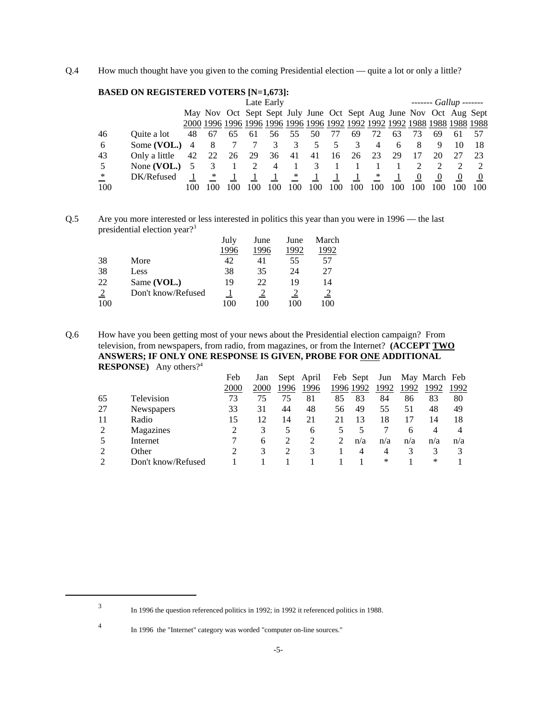Q.4 How much thought have you given to the coming Presidential election — quite a lot or only a little?

## **BASED ON REGISTERED VOTERS [N=1,673]:**

|        |                 | Late Early |     |     |     |                                   |        |          | $----$ Gallup $----$ |     |                |     |     |     |                                                                    |      |
|--------|-----------------|------------|-----|-----|-----|-----------------------------------|--------|----------|----------------------|-----|----------------|-----|-----|-----|--------------------------------------------------------------------|------|
|        |                 |            |     |     |     |                                   |        |          |                      |     |                |     |     |     | May Nov Oct Sept Sept July June Oct Sept Aug June Nov Oct Aug Sept |      |
|        |                 |            |     |     |     |                                   |        |          |                      |     |                |     |     |     |                                                                    |      |
| 46     | Quite a lot     | 48         | 67  | 65  | 61  | 56 55                             |        | 50       | 77                   | 69  | 72             | 63  | 73  | 69. | -61                                                                | -57  |
| -6     | Some $(VOL.)$ 4 |            | -8  |     |     | 3                                 |        | 5        | -5                   | 3   | $\overline{4}$ | 6   | 8   | 9   |                                                                    | -18  |
| 43     | Only a little   | 42         | 22  | 26  | 29  | 36                                | 41     | 41 16    |                      | 26  | 23             | 29  | 17  | 20  |                                                                    | - 23 |
| -5     | None (VOL.) $5$ |            |     |     | 2   | $\overline{4}$                    |        |          | $3 \quad 1$          |     |                |     |     |     |                                                                    |      |
| $\ast$ | DK/Refused      |            | ∗   |     |     | $\begin{array}{cc} 1 \end{array}$ | $\ast$ | $\sim$ 1 |                      |     | $*$            |     | -0  | -0  | 0                                                                  |      |
| 100    |                 |            | 100 | 100 | 100 | 100                               | 100    | 100      | 100                  | 100 | 100            | 100 | 100 | 100 | 100                                                                | 100  |

Q.5 Are you more interested or less interested in politics this year than you were in 1996 — the last presidential election year?<sup>3</sup>

|     |                    | July | June | June | March |
|-----|--------------------|------|------|------|-------|
|     |                    | 1996 | 1996 | 1992 | 1992  |
| 38  | More               | 42   | 41   | 55   | 57    |
| 38  | Less               | 38   | 35   | 24   | 27    |
| 22  | Same (VOL.)        | 19   | 22   | 19   | 14    |
|     | Don't know/Refused |      |      |      |       |
| 100 |                    | 100  | 100  | 100  | 100   |

Q.6 How have you been getting most of your news about the Presidential election campaign? From television, from newspapers, from radio, from magazines, or from the Internet? **(ACCEPT TWO ANSWERS; IF ONLY ONE RESPONSE IS GIVEN, PROBE FOR ONE ADDITIONAL RESPONSE)** Any others?4

|    |                    | Feb  | Jan  |      | Sept April | Feb Sept  |     | Jun  |      | May March Feb |      |
|----|--------------------|------|------|------|------------|-----------|-----|------|------|---------------|------|
|    |                    | 2000 | 2000 | 1996 | 1996       | 1996 1992 |     | 1992 | 1992 | 1992          | 1992 |
| 65 | Television         | 73   | 75   | 75   | 81         | 85        | 83  | 84   | 86   | 83            | 80   |
| 27 | <b>Newspapers</b>  | 33   | 31   | 44   | 48         | 56        | 49  | 55   | 51   | 48            | 49   |
| 11 | Radio              | 15   | 12   | 14   | 21         | 21        | 13  | 18   |      | 14            | 18   |
| 2  | Magazines          |      | 3    | 5    | 6          |           |     |      | 6    | 4             | 4    |
|    | Internet           |      | 6    | 2    | 2          |           | n/a | n/a  | n/a  | n/a           | n/a  |
| 2  | Other              |      | 3    |      | 3          |           | 4   | 4    |      | 3             |      |
|    | Don't know/Refused |      |      |      |            |           |     | ∗    |      | ∗             |      |

<sup>3</sup> In 1996 the question referenced politics in 1992; in 1992 it referenced politics in 1988.

<sup>4</sup> In 1996 the "Internet" category was worded "computer on-line sources."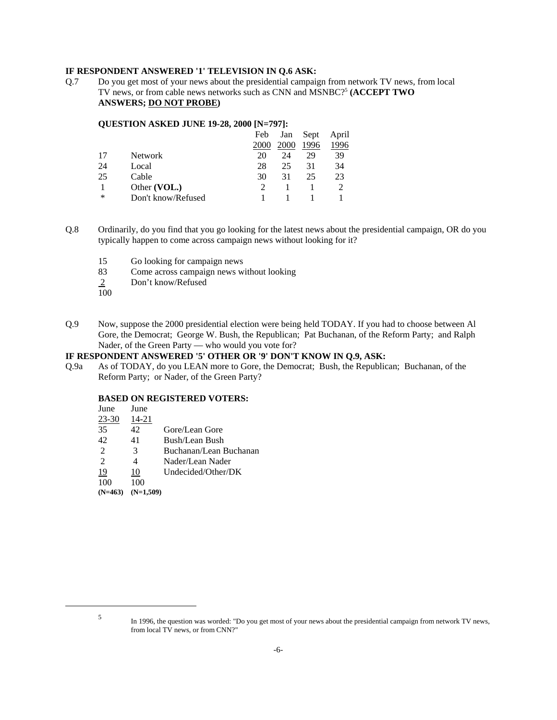#### **IF RESPONDENT ANSWERED '1' TELEVISION IN Q.6 ASK:**

Q.7 Do you get most of your news about the presidential campaign from network TV news, from local TV news, or from cable news networks such as CNN and MSNBC?<sup>5</sup> (ACCEPT TWO **ANSWERS; DO NOT PROBE)**

#### **QUESTION ASKED JUNE 19-28, 2000 [N=797]:**

|                    | Feb  | Jan  | Sept | April |
|--------------------|------|------|------|-------|
|                    | 2000 | 2000 | 1996 | 1996  |
| <b>Network</b>     | 20   | 24   | 29   | 39    |
| Local              | 28   | 25   | 31   | 34    |
| Cable              | 30   | 31   | 25   | 23    |
| Other (VOL.)       |      |      |      |       |
| Don't know/Refused |      |      |      |       |
|                    |      |      |      |       |

- Q.8 Ordinarily, do you find that you go looking for the latest news about the presidential campaign, OR do you typically happen to come across campaign news without looking for it?
	- 15 Go looking for campaign news
	- 83 Come across campaign news without looking
	- 2 Don't know/Refused  $\frac{2}{100}$
	-
- Q.9 Now, suppose the 2000 presidential election were being held TODAY. If you had to choose between Al Gore, the Democrat; George W. Bush, the Republican; Pat Buchanan, of the Reform Party; and Ralph Nader, of the Green Party — who would you vote for?

## **IF RESPONDENT ANSWERED '5' OTHER OR '9' DON'T KNOW IN Q.9, ASK:**

Q.9a As of TODAY, do you LEAN more to Gore, the Democrat; Bush, the Republican; Buchanan, of the Reform Party; or Nader, of the Green Party?

#### **BASED ON REGISTERED VOTERS:**

| June      | June        |                        |
|-----------|-------------|------------------------|
| $23 - 30$ | 14-21       |                        |
| 35        | 42          | Gore/Lean Gore         |
| 42        | 41          | Bush/Lean Bush         |
| 2         | 3           | Buchanan/Lean Buchanan |
| 2         | 4           | Nader/Lean Nader       |
| 19        | 10          | Undecided/Other/DK     |
| 100       | 100         |                        |
| $(N=463)$ | $(N=1,509)$ |                        |

<sup>5</sup> In 1996, the question was worded: "Do you get most of your news about the presidential campaign from network TV news, from local TV news, or from CNN?"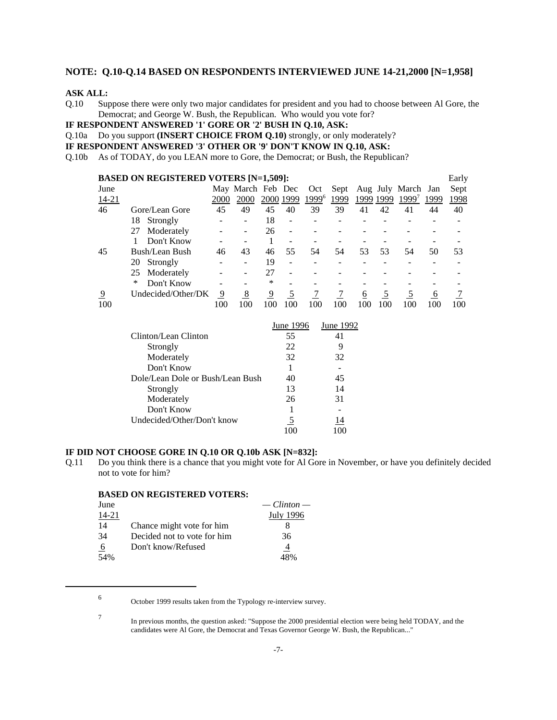#### **NOTE: Q.10-Q.14 BASED ON RESPONDENTS INTERVIEWED JUNE 14-21,2000 [N=1,958]**

#### **ASK ALL:**

Q.10 Suppose there were only two major candidates for president and you had to choose between Al Gore, the Democrat; and George W. Bush, the Republican. Who would you vote for?

**IF RESPONDENT ANSWERED '1' GORE OR '2' BUSH IN Q.10, ASK:**

Q.10a Do you support **(INSERT CHOICE FROM Q.10)** strongly, or only moderately?

**IF RESPONDENT ANSWERED '3' OTHER OR '9' DON'T KNOW IN Q.10, ASK:**

Q.10b As of TODAY, do you LEAN more to Gore, the Democrat; or Bush, the Republican?

|                | <b>BASED ON REGISTERED VOTERS [N=1,509]:</b> |      |                   |     |           |       |      |     |           |                    |      | Early |
|----------------|----------------------------------------------|------|-------------------|-----|-----------|-------|------|-----|-----------|--------------------|------|-------|
| June           |                                              |      | May March Feb Dec |     |           | Oct   | Sept |     |           | Aug July March Jan |      | Sept  |
| 14-21          |                                              | 2000 | 2000              |     | 2000 1999 | 19996 | 1999 |     | 1999 1999 | 1999               | 1999 | 1998  |
| 46             | Gore/Lean Gore                               | 45   | 49                | 45  | 40        | 39    | 39   | 41  | 42        | 41                 | 44   | 40    |
|                | 18<br>Strongly                               |      |                   | 18  |           |       |      |     |           |                    |      |       |
|                | Moderately<br>27                             |      |                   | 26  |           |       |      |     |           |                    |      |       |
|                | Don't Know                                   |      |                   |     |           |       |      |     |           |                    |      |       |
| 45             | Bush/Lean Bush                               | 46   | 43                | 46  | 55        | 54    | 54   | 53  | 53        | 54                 | 50   | 53    |
|                | Strongly<br>20                               |      |                   | 19  |           |       |      |     |           |                    |      |       |
|                | Moderately<br>25                             |      |                   | 27  |           |       |      |     |           |                    |      |       |
|                | Don't Know<br>∗                              |      |                   | *   |           |       |      |     |           |                    |      |       |
| $\overline{9}$ | Undecided/Other/DK                           | 9    | 8                 | 9   |           |       |      | 6   |           |                    | 6    |       |
| 100            |                                              | 100  | 100               | 100 | 100       | 100   | 100  | 100 | 100       | 100                | 100  | 100   |

|                                  | June 1996 | June 1992 |
|----------------------------------|-----------|-----------|
| Clinton/Lean Clinton             | 55        | 41        |
| Strongly                         | 22        |           |
| Moderately                       | 32        | 32        |
| Don't Know                       |           |           |
| Dole/Lean Dole or Bush/Lean Bush | 40        | 45        |
| Strongly                         | 13        | 14        |
| Moderately                       | 26        | 31        |
| Don't Know                       |           |           |
| Undecided/Other/Don't know       | 5         | 14        |
|                                  |           | 100       |

#### **IF DID NOT CHOOSE GORE IN Q.10 OR Q.10b ASK [N=832]:**

Q.11 Do you think there is a chance that you might vote for Al Gore in November, or have you definitely decided not to vote for him?

|                                   | $\sim$ Clinton $\sim$ |
|-----------------------------------|-----------------------|
| June                              |                       |
| 14-21                             | July 1996             |
| 14<br>Chance might vote for him   |                       |
| 34<br>Decided not to vote for him | 36                    |
| Don't know/Refused<br>-6          | 4                     |
| 54%                               |                       |

**BASED ON REGISTERED VOTERS:**

<sup>7</sup> In previous months, the question asked: "Suppose the 2000 presidential election were being held TODAY, and the candidates were Al Gore, the Democrat and Texas Governor George W. Bush, the Republican..."

<sup>6</sup> October 1999 results taken from the Typology re-interview survey.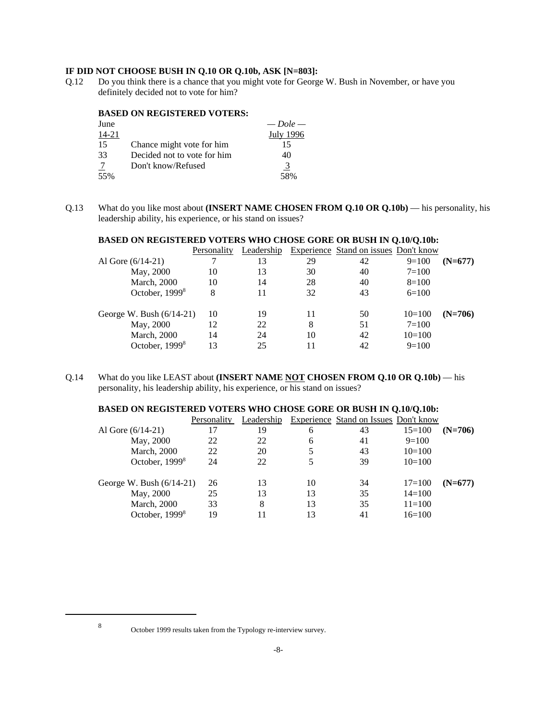## **IF DID NOT CHOOSE BUSH IN Q.10 OR Q.10b, ASK [N=803]:**

Q.12 Do you think there is a chance that you might vote for George W. Bush in November, or have you definitely decided not to vote for him?

#### **BASED ON REGISTERED VOTERS:**

| June  |                             | $-$ Dole $-$     |
|-------|-----------------------------|------------------|
| 14-21 |                             | <b>July 1996</b> |
| 15    | Chance might vote for him   | 15               |
| 33    | Decided not to vote for him | 40               |
| -7    | Don't know/Refused          | 3                |
| 55%   |                             | 58%              |

Q.13 What do you like most about **(INSERT NAME CHOSEN FROM Q.10 OR Q.10b)** — his personality, his leadership ability, his experience, or his stand on issues?

| <b>BASED ON REGISTERED VOTERS WHO CHOSE GORE OR BUSH IN Q.10/Q.10b:</b> |             |            |    |                                       |           |           |  |  |  |  |
|-------------------------------------------------------------------------|-------------|------------|----|---------------------------------------|-----------|-----------|--|--|--|--|
|                                                                         | Personality | Leadership |    | Experience Stand on issues Don't know |           |           |  |  |  |  |
| Al Gore $(6/14-21)$                                                     |             | 13         | 29 | 42                                    | $9=100$   | $(N=677)$ |  |  |  |  |
| May, 2000                                                               | 10          | 13         | 30 | 40                                    | $7=100$   |           |  |  |  |  |
| <b>March</b> , 2000                                                     | 10          | 14         | 28 | 40                                    | $8=100$   |           |  |  |  |  |
| October, 1999 <sup>8</sup>                                              | 8           | 11         | 32 | 43                                    | $6=100$   |           |  |  |  |  |
| George W. Bush $(6/14-21)$                                              | 10          | 19         | 11 | 50                                    | $10=100$  | $(N=706)$ |  |  |  |  |
| May, 2000                                                               | 12          | 22         | 8  | 51                                    | $7 = 100$ |           |  |  |  |  |
| <b>March</b> , 2000                                                     | 14          | 24         | 10 | 42                                    | $10=100$  |           |  |  |  |  |
| October, 1999 <sup>8</sup>                                              | 13          | 25         | 11 | 42                                    | $9=100$   |           |  |  |  |  |

Q.14 What do you like LEAST about **(INSERT NAME NOT CHOSEN FROM Q.10 OR Q.10b)** — his personality, his leadership ability, his experience, or his stand on issues?

| <b>BASED ON REGISTERED VOTERS WHO CHOSE GORE OR BUSH IN Q.10/Q.10b:</b> |             |    |    |                                                  |            |           |  |  |  |  |
|-------------------------------------------------------------------------|-------------|----|----|--------------------------------------------------|------------|-----------|--|--|--|--|
|                                                                         | Personality |    |    | Leadership Experience Stand on Issues Don't know |            |           |  |  |  |  |
| Al Gore $(6/14-21)$                                                     | 17          | 19 | 6  | 43                                               | $15=100$   | $(N=706)$ |  |  |  |  |
| May, 2000                                                               | 22          | 22 | 6  | 41                                               | $9=100$    |           |  |  |  |  |
| <b>March</b> , 2000                                                     | 22          | 20 | 5  | 43                                               | $10=100$   |           |  |  |  |  |
| October, 1999 <sup>8</sup>                                              | 24          | 22 | 5  | 39                                               | $10=100$   |           |  |  |  |  |
| George W. Bush $(6/14-21)$                                              | 26          | 13 | 10 | 34                                               | $17 = 100$ | $(N=677)$ |  |  |  |  |
| May, 2000                                                               | 25          | 13 | 13 | 35                                               | $14=100$   |           |  |  |  |  |
| <b>March</b> , 2000                                                     | 33          | 8  | 13 | 35                                               | $11 = 100$ |           |  |  |  |  |
| October, 1999 <sup>8</sup>                                              | 19          |    | 13 | 41                                               | $16=100$   |           |  |  |  |  |

<sup>8</sup> October 1999 results taken from the Typology re-interview survey.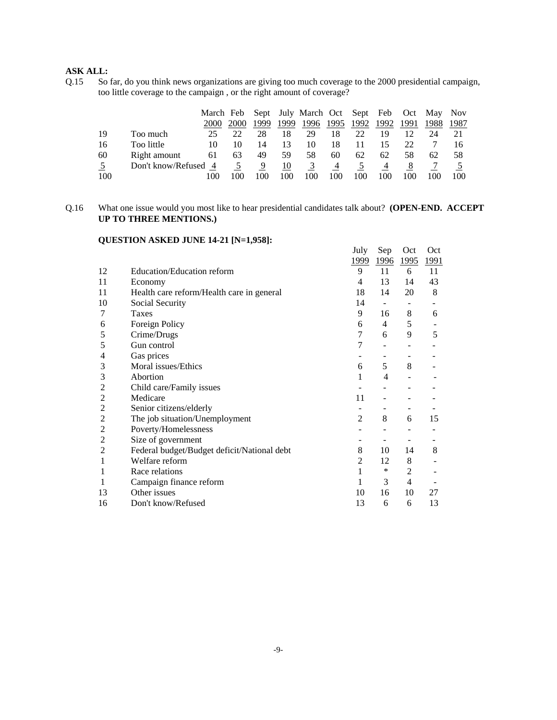## **ASK ALL:**

Q.15 So far, do you think news organizations are giving too much coverage to the 2000 presidential campaign, too little coverage to the campaign , or the right amount of coverage?

|     |                      | March Feb |             |      |     | Sept July March Oct Sept Feb Oct May Nov |     |                   |     |      |      |      |
|-----|----------------------|-----------|-------------|------|-----|------------------------------------------|-----|-------------------|-----|------|------|------|
|     |                      | 2000      | <b>2000</b> | 1999 |     | 1999 1996 1995                           |     | <u> 1992 1992</u> |     | 1991 | 1988 | 1987 |
| 19  | Too much             | 25        |             | 28   | 18  | 29                                       | 18  | 22                | 19  |      | 24   |      |
| 16  | Too little           | 10        |             | 14   | 13  | 10                                       | 18  |                   |     | 22   |      |      |
| 60  | Right amount         | 61        | 63          | 49   | 59  | 58                                       | 60  | 62                | 62  | 58   | 62   | 58   |
|     | Don't know/Refused 4 |           |             | 9    | 10  | 3                                        | 4   | $\mathcal{L}$     | 4   | 8    |      |      |
| 100 |                      | 00        |             |      | 100 | 100                                      | 100 | 100               | 100 |      | 100  | 100  |

## Q.16 What one issue would you most like to hear presidential candidates talk about? **(OPEN-END. ACCEPT UP TO THREE MENTIONS.)**

## **QUESTION ASKED JUNE 14-21 [N=1,958]:**

|                |                                             | July           | Sep       | Oct                          | Oct  |
|----------------|---------------------------------------------|----------------|-----------|------------------------------|------|
|                |                                             | 1999           | 1996 1995 |                              | 1991 |
| 12             | Education/Education reform                  | 9              | 11        | 6                            | 11   |
| 11             | Economy                                     | 4              | 13        | 14                           | 43   |
| 11             | Health care reform/Health care in general   | 18             | 14        | 20                           | 8    |
| 10             | Social Security                             | 14             | $\sim$    | $\qquad \qquad \blacksquare$ |      |
| 7              | <b>Taxes</b>                                | 9              | 16        | 8                            | 6    |
| 6              | Foreign Policy                              | 6              | 4         | 5                            |      |
| 5              | Crime/Drugs                                 | 7              | 6         | 9                            | 5    |
| 5              | Gun control                                 | 7              |           |                              |      |
| 4              | Gas prices                                  |                |           |                              |      |
| 3              | Moral issues/Ethics                         | 6              | 5         | 8                            |      |
| 3              | Abortion                                    | 1              | 4         |                              |      |
| 2              | Child care/Family issues                    |                |           |                              |      |
| 2              | Medicare                                    | 11             |           |                              |      |
| 2              | Senior citizens/elderly                     |                |           |                              |      |
| $\overline{c}$ | The job situation/Unemployment              | $\overline{2}$ | 8         | 6                            | 15   |
| 2              | Poverty/Homelessness                        |                |           |                              |      |
| 2              | Size of government                          |                |           | $\qquad \qquad -$            |      |
| $\overline{c}$ | Federal budget/Budget deficit/National debt | 8              | 10        | 14                           | 8    |
| 1              | Welfare reform                              | 2              | 12        | 8                            |      |
| 1              | Race relations                              | $\mathbf{1}$   | $\ast$    | $\overline{2}$               |      |
| 1              | Campaign finance reform                     | $\mathbf{1}$   | 3         | 4                            |      |
| 13             | Other issues                                | 10             | 16        | 10                           | 27   |
| 16             | Don't know/Refused                          | 13             | 6         | 6                            | 13   |
|                |                                             |                |           |                              |      |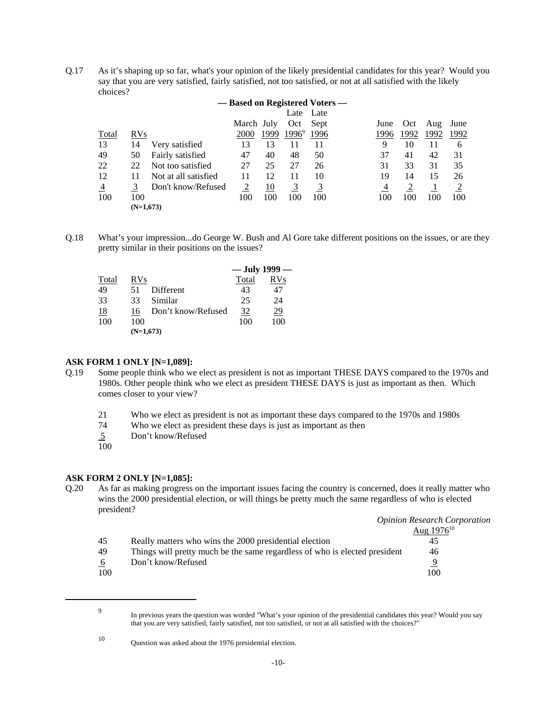Q.17 As it's shaping up so far, what's your opinion of the likely presidential candidates for this year? Would you say that you are very satisfied, fairly satisfied, not too satisfied, or not at all satisfied with the likely choices?

|                | - Based on Registered Voters - |                      |            |      |          |      |      |      |      |      |  |  |
|----------------|--------------------------------|----------------------|------------|------|----------|------|------|------|------|------|--|--|
|                |                                |                      |            |      | Late     | Late |      |      |      |      |  |  |
|                |                                |                      | March July |      | Oct      | Sept | June | Oct  | Aug  | June |  |  |
| Total          | <b>RVs</b>                     |                      | 2000       | 1999 | $1996^9$ | 1996 | 1996 | 1992 | 1992 | 1992 |  |  |
| 13             | 14                             | Very satisfied       | 13         | 13   | 11       | 11   | 9    | 10   | 11   | 6    |  |  |
| 49             | 50                             | Fairly satisfied     | 47         | 40   | 48       | 50   | 37   | 41   | 42   | 31   |  |  |
| 22             | 22                             | Not too satisfied    | 27         | 25   | 27       | 26   | 31   | 33   | 31   | 35   |  |  |
| 12             | 11                             | Not at all satisfied | 11         | 12   | 11       | 10   | 19   | 14   | 15   | 26   |  |  |
| $\overline{4}$ |                                | Don't know/Refused   | 2          | 10   | 3        | 3    | 4    |      |      |      |  |  |
| 100            | 100                            |                      | 100        | 100  | 100      | 100  | 100  | 100  | 100  | 100  |  |  |
|                | $(N=1,673)$                    |                      |            |      |          |      |      |      |      |      |  |  |

Q.18 What's your impression...do George W. Bush and Al Gore take different positions on the issues, or are they pretty similar in their positions on the issues?

|           |             |                    | — July 1999 — |            |
|-----------|-------------|--------------------|---------------|------------|
| Total     | <b>RVs</b>  |                    | Total         | <b>RVs</b> |
| 49        | 51          | Different          | 43            | 47         |
| 33        | 33          | Similar            | 25            | 24         |
| <u>18</u> | 16          | Don't know/Refused | <u>32</u>     | <u>29</u>  |
| 100       | 100         |                    | 100           | 100        |
|           | $(N=1,673)$ |                    |               |            |

#### **ASK FORM 1 ONLY [N=1,089]:**

- Q.19 Some people think who we elect as president is not as important THESE DAYS compared to the 1970s and 1980s. Other people think who we elect as president THESE DAYS is just as important as then. Which comes closer to your view?
	- 21 Who we elect as president is not as important these days compared to the 1970s and 1980s
	- 74 Who we elect as president these days is just as important as then
	- 5 Don't know/Refused
	- $rac{5}{100}$

#### **ASK FORM 2 ONLY [N=1,085]:**

Q.20 As far as making progress on the important issues facing the country is concerned, does it really matter who wins the 2000 presidential election, or will things be pretty much the same regardless of who is elected president?

|             |                                                                            | <b>Opinion Research Corporation</b> |
|-------------|----------------------------------------------------------------------------|-------------------------------------|
|             |                                                                            | Aug $1976^{10}$                     |
| 45          | Really matters who wins the 2000 presidential election                     | 45                                  |
| 49          | Things will pretty much be the same regardless of who is elected president | 46                                  |
| $6^{\circ}$ | Don't know/Refused                                                         | 9                                   |
| 100         |                                                                            | 100                                 |

<sup>9</sup> In previous years the question was worded "What's your opinion of the presidential candidates this year? Would you say that you are very satisfied, fairly satisfied, not too satisfied, or not at all satisfied with the choices?"

<sup>10</sup> Question was asked about the 1976 presidential election.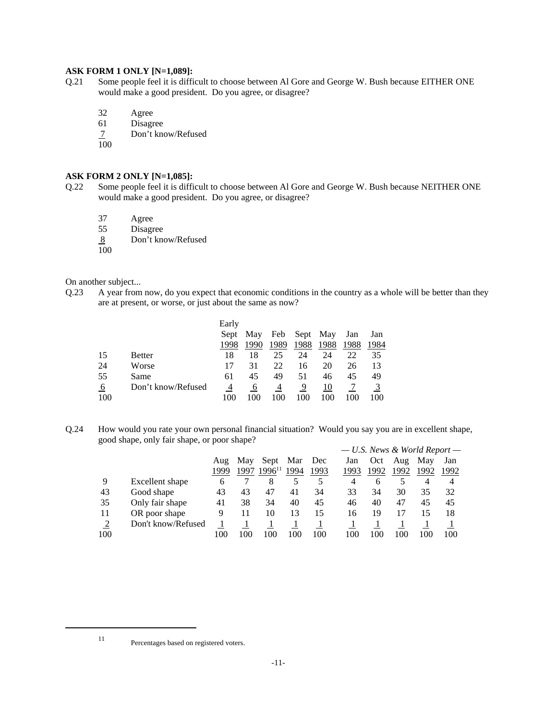#### **ASK FORM 1 ONLY [N=1,089]:**

- Q.21 Some people feel it is difficult to choose between Al Gore and George W. Bush because EITHER ONE would make a good president. Do you agree, or disagree?
	- 32 Agree
	- 61 Disagree
	- 7 Don't know/Refused
	- 100

## **ASK FORM 2 ONLY [N=1,085]:**

- Q.22 Some people feel it is difficult to choose between Al Gore and George W. Bush because NEITHER ONE would make a good president. Do you agree, or disagree?
	- 37 Agree
	- 55 Disagree
	- 8 Don't know/Refused
	- 100

On another subject...

Q.23 A year from now, do you expect that economic conditions in the country as a whole will be better than they are at present, or worse, or just about the same as now?

|          |                    | Early |      |      |      |          |      |      |
|----------|--------------------|-------|------|------|------|----------|------|------|
|          |                    | Sept  | May  | Feb  |      | Sept May | Jan  | Jan  |
|          |                    |       | 1990 | 1989 | 1988 | 1988     | 1988 | 1984 |
| 15       | <b>Better</b>      | 18    | 18   | 25   | 24   | 24       | 22   | 35   |
| 24       | Worse              |       | 31   | 22   | 16   | 20       | 26   | 13   |
| 55       | Same               | 61    | 45   | 49   | 51   | 46       | 45   | 49   |
| <u>6</u> | Don't know/Refused | 4     | 6    | 4    | 9    | 10       |      |      |
| 100      |                    | 100   | 100  |      | 100  | 100      | 100  | 100  |

Q.24 How would you rate your own personal financial situation? Would you say you are in excellent shape, good shape, only fair shape, or poor shape?

|     |                    |      |      |             |      |      | $- U.S.$ News & World Report $-$ |      |      |      |      |
|-----|--------------------|------|------|-------------|------|------|----------------------------------|------|------|------|------|
|     |                    | Aug  | May  | Sept        | Mar  | Dec  | Jan                              | Oct  | Aug  | May  | Jan  |
|     |                    | 1999 | 1997 | $1996^{11}$ | 1994 | 1993 | 1993                             | 1992 | 1992 | 1992 | 1992 |
| 9   | Excellent shape    | 6    |      |             |      |      | 4                                | 6    |      | 4    | 4    |
| 43  | Good shape         | 43   | 43   | 47          | 41   | 34   | 33                               | 34   | 30   | 35   | 32   |
| 35  | Only fair shape    | 41   | 38   | 34          | 40   | 45   | 46                               | 40   | 47   | 45   | 45   |
| 11  | OR poor shape      | 9    | 11   | 10          | 13   | 15   | 16                               | 19   |      | 15   | 18   |
| 2   | Don't know/Refused |      |      |             |      |      |                                  |      |      |      |      |
| 100 |                    | 100  | 100  | 100         | 100  | 100  | 100                              | 100  | 100  | 100  | 100  |

<sup>11</sup> Percentages based on registered voters.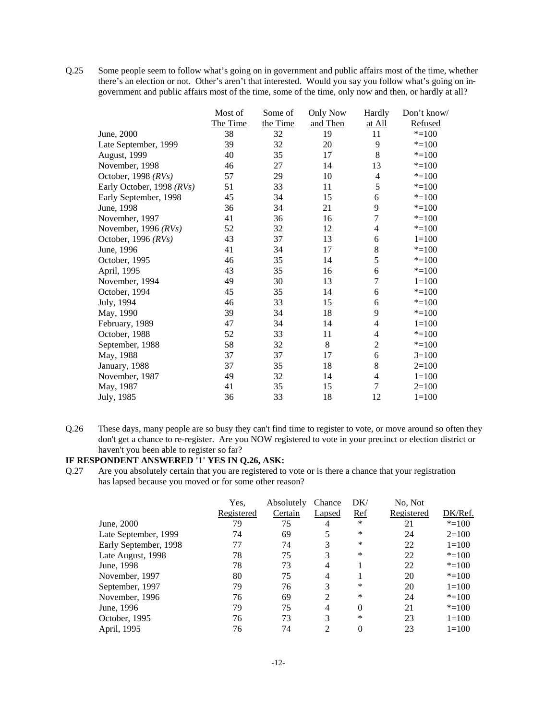Q.25 Some people seem to follow what's going on in government and public affairs most of the time, whether there's an election or not. Other's aren't that interested. Would you say you follow what's going on in government and public affairs most of the time, some of the time, only now and then, or hardly at all?

| Most of  | Some of  | <b>Only Now</b> | Hardly                   | Don't know/ |
|----------|----------|-----------------|--------------------------|-------------|
| The Time | the Time | and Then        | at All                   | Refused     |
| 38       | 32       | 19              | 11                       | $* = 100$   |
| 39       | 32       | 20              | 9                        | $* = 100$   |
| 40       | 35       | 17              | 8                        | $* = 100$   |
| 46       | 27       | 14              | 13                       | $* = 100$   |
| 57       | 29       | 10              | $\overline{\mathcal{A}}$ | $* = 100$   |
| 51       | 33       | 11              | 5                        | $* = 100$   |
| 45       | 34       | 15              | 6                        | $* = 100$   |
| 36       | 34       | 21              | 9                        | $* = 100$   |
| 41       | 36       | 16              | $\overline{7}$           | $* = 100$   |
| 52       | 32       | 12              | 4                        | $* = 100$   |
| 43       | 37       | 13              | 6                        | $1 = 100$   |
| 41       | 34       | 17              | 8                        | $* = 100$   |
| 46       | 35       | 14              | 5                        | $* = 100$   |
| 43       | 35       | 16              | 6                        | $* = 100$   |
| 49       | 30       | 13              | $\overline{7}$           | $1 = 100$   |
| 45       | 35       | 14              | 6                        | $* = 100$   |
| 46       | 33       | 15              | 6                        | $* = 100$   |
| 39       | 34       | 18              | 9                        | $* = 100$   |
| 47       | 34       | 14              | 4                        | $1 = 100$   |
| 52       | 33       | 11              | 4                        | $* = 100$   |
| 58       | 32       | 8               | $\overline{c}$           | $* = 100$   |
| 37       | 37       | 17              | 6                        | $3=100$     |
| 37       | 35       | 18              | 8                        | $2=100$     |
| 49       | 32       | 14              | 4                        | $1 = 100$   |
| 41       | 35       | 15              | $\overline{7}$           | $2=100$     |
| 36       | 33       | 18              | 12                       | $1 = 100$   |
|          |          |                 |                          |             |

Q.26 These days, many people are so busy they can't find time to register to vote, or move around so often they don't get a chance to re-register. Are you NOW registered to vote in your precinct or election district or haven't you been able to register so far?

# **IF RESPONDENT ANSWERED '1' YES IN Q.26, ASK:**

Q.27 Are you absolutely certain that you are registered to vote or is there a chance that your registration has lapsed because you moved or for some other reason?

|                       | Yes,       | Absolutely | Chance | DK/        | No, Not    |           |
|-----------------------|------------|------------|--------|------------|------------|-----------|
|                       | Registered | Certain    | Lapsed | <u>Ref</u> | Registered | DK/Ref.   |
| June, 2000            | 79         | 75         | 4      | ∗          | 21         | $* = 100$ |
| Late September, 1999  | 74         | 69         | 5      | ∗          | 24         | $2=100$   |
| Early September, 1998 | 77         | 74         | 3      | ∗          | 22         | $1=100$   |
| Late August, 1998     | 78         | 75         | 3      | *          | 22         | $* = 100$ |
| June, 1998            | 78         | 73         | 4      |            | 22         | $* = 100$ |
| November, 1997        | 80         | 75         | 4      |            | 20         | $* = 100$ |
| September, 1997       | 79         | 76         | 3      | *          | 20         | $1 = 100$ |
| November, 1996        | 76         | 69         | 2      | *          | 24         | $* = 100$ |
| June, 1996            | 79         | 75         | 4      | 0          | 21         | $* = 100$ |
| October, 1995         | 76         | 73         | 3      | *          | 23         | $1 = 100$ |
| April, 1995           | 76         | 74         | 2      | 0          | 23         | $1 = 100$ |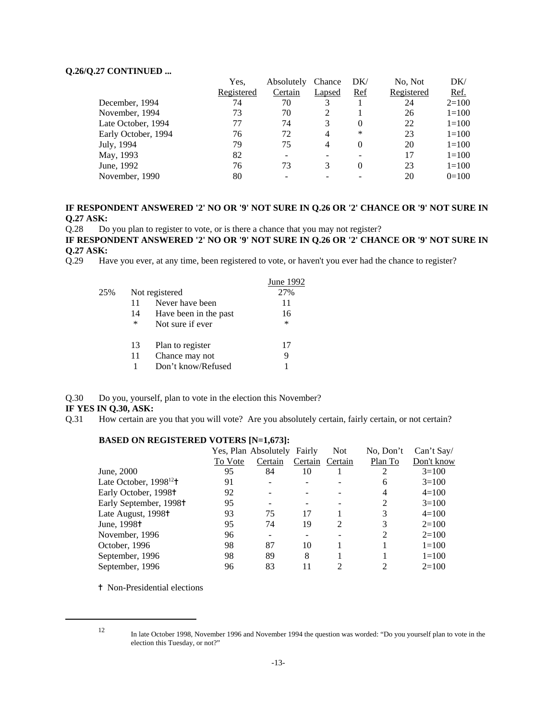#### **Q.26/Q.27 CONTINUED ...**

|                     | Yes.       | Absolutely | Chance | DK/    | No, Not    | DK/       |
|---------------------|------------|------------|--------|--------|------------|-----------|
|                     | Registered | Certain    | Lapsed | Ref    | Registered | Ref.      |
| December, 1994      | 74         | 70         |        |        | 24         | $2=100$   |
| November, 1994      | 73         | 70         | 2      |        | 26         | $1 = 100$ |
| Late October, 1994  | 77         | 74         | 3      | 0      | 22         | $1=100$   |
| Early October, 1994 | 76         | 72         | 4      | $\ast$ | 23         | $1=100$   |
| July, 1994          | 79         | 75         | 4      | 0      | 20         | $1 = 100$ |
| May, 1993           | 82         |            |        |        | 17         | $1=100$   |
| June, 1992          | 76         | 73         | 3      | 0      | 23         | $1 = 100$ |
| November, 1990      | 80         |            |        |        | 20         | $0=100$   |

## **IF RESPONDENT ANSWERED '2' NO OR '9' NOT SURE IN Q.26 OR '2' CHANCE OR '9' NOT SURE IN Q.27 ASK:**

Q.28 Do you plan to register to vote, or is there a chance that you may not register?

**IF RESPONDENT ANSWERED '2' NO OR '9' NOT SURE IN Q.26 OR '2' CHANCE OR '9' NOT SURE IN Q.27 ASK:**

Q.29 Have you ever, at any time, been registered to vote, or haven't you ever had the chance to register?

|     |    |                       | June 1992 |
|-----|----|-----------------------|-----------|
| 25% |    | Not registered        | 27%       |
|     | 11 | Never have been       | 11        |
|     | 14 | Have been in the past | 16        |
|     | *  | Not sure if ever      | *         |
|     | 13 | Plan to register      | 17        |
|     | 11 | Chance may not        | 9         |
|     | 1  | Don't know/Refused    |           |
|     |    |                       |           |

Q.30 Do you, yourself, plan to vote in the election this November?

#### **IF YES IN Q.30, ASK:**

Q.31 How certain are you that you will vote? Are you absolutely certain, fairly certain, or not certain?

|                                        |         | Yes, Plan Absolutely | Fairly  | <b>Not</b>                  | No, Don't | Can't Say/ |
|----------------------------------------|---------|----------------------|---------|-----------------------------|-----------|------------|
|                                        | To Vote | Certain              | Certain | Certain                     | Plan To   | Don't know |
| June, 2000                             | 95      | 84                   | 10      |                             | 2         | $3=100$    |
| Late October, $1998^{12}$ <sup>+</sup> | 91      |                      |         |                             | 6         | $3=100$    |
| Early October, 1998 <sup>†</sup>       | 92      |                      |         |                             | 4         | $4=100$    |
| Early September, 1998 <sup>+</sup>     | 95      |                      |         |                             | 2         | $3=100$    |
| Late August, 1998 <sup>+</sup>         | 93      | 75                   | 17      |                             | 3         | $4=100$    |
| June, 1998 <sup>†</sup>                | 95      | 74                   | 19      | $\mathcal{D}_{\mathcal{L}}$ | 3         | $2=100$    |
| November, 1996                         | 96      |                      |         |                             | 2         | $2=100$    |
| October, 1996                          | 98      | 87                   | 10      |                             |           | $1 = 100$  |
| September, 1996                        | 98      | 89                   | 8       |                             |           | $1=100$    |
| September, 1996                        | 96      | 83                   | 11      |                             |           | $2=100$    |

## **BASED ON REGISTERED VOTERS [N=1,673]:**

<sup> $\dagger$ </sup> Non-Presidential elections

<sup>12</sup> In late October 1998, November 1996 and November 1994 the question was worded: "Do you yourself plan to vote in the election this Tuesday, or not?"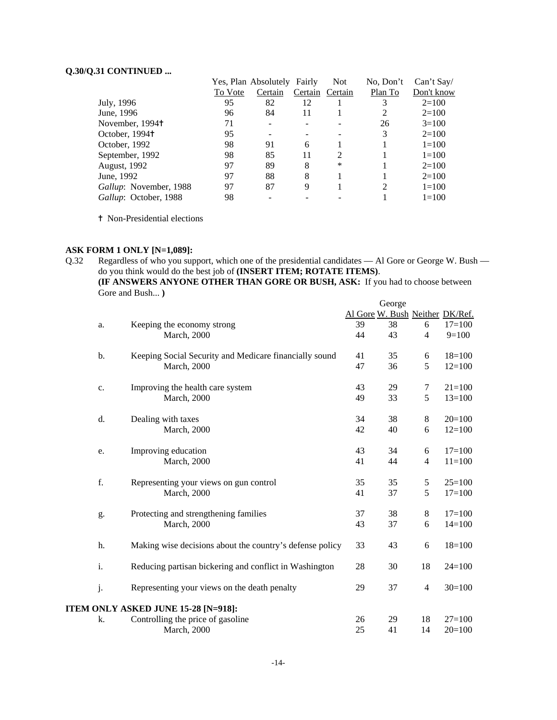## **Q.30/Q.31 CONTINUED ...**

|                        |         | Yes, Plan Absolutely Fairly |         | <b>Not</b>                  | No. Don't | Can't Say  |
|------------------------|---------|-----------------------------|---------|-----------------------------|-----------|------------|
|                        | To Vote | Certain                     | Certain | Certain                     | Plan To   | Don't know |
| July, 1996             | 95      | 82                          | 12      |                             |           | $2=100$    |
| June, 1996             | 96      | 84                          | 11      |                             |           | $2=100$    |
| November, 1994†        | 71      |                             |         |                             | 26        | $3=100$    |
| October, 1994†         | 95      |                             |         |                             | 3         | $2=100$    |
| October, 1992          | 98      | 91                          | 6       |                             |           | $1 = 100$  |
| September, 1992        | 98      | 85                          | 11      | $\mathcal{D}_{\mathcal{L}}$ |           | $1=100$    |
| August, 1992           | 97      | 89                          | 8       | *                           |           | $2=100$    |
| June, 1992             | 97      | 88                          | 8       |                             |           | $2=100$    |
| Gallup: November, 1988 | 97      | 87                          | 9       |                             | 2         | $1=100$    |
| Gallup: October, 1988  | 98      |                             |         |                             |           | $1 = 100$  |

<sup>†</sup> Non-Presidential elections

## **ASK FORM 1 ONLY [N=1,089]:**

Q.32 Regardless of who you support, which one of the presidential candidates — Al Gore or George W. Bush do you think would do the best job of **(INSERT ITEM; ROTATE ITEMS)**. **(IF ANSWERS ANYONE OTHER THAN GORE OR BUSH, ASK:** If you had to choose between Gore and Bush... **)**

|    |                                                          |                                 | George |                |            |
|----|----------------------------------------------------------|---------------------------------|--------|----------------|------------|
|    |                                                          | Al Gore W. Bush Neither DK/Ref. |        |                |            |
| a. | Keeping the economy strong                               | 39                              | 38     | 6              | $17=100$   |
|    | <b>March</b> , 2000                                      | 44                              | 43     | $\overline{4}$ | $9=100$    |
| b. | Keeping Social Security and Medicare financially sound   | 41                              | 35     | 6              | $18=100$   |
|    | <b>March</b> , 2000                                      | 47                              | 36     | 5              | $12=100$   |
| c. | Improving the health care system                         | 43                              | 29     | 7              | $21 = 100$ |
|    | <b>March</b> , 2000                                      | 49                              | 33     | 5              | $13=100$   |
| d. | Dealing with taxes                                       | 34                              | 38     | 8              | $20=100$   |
|    | <b>March</b> , 2000                                      | 42                              | 40     | 6              | $12=100$   |
| e. | Improving education                                      | 43                              | 34     | 6              | $17=100$   |
|    | March, 2000                                              | 41                              | 44     | $\overline{4}$ | $11 = 100$ |
| f. | Representing your views on gun control                   | 35                              | 35     | 5              | $25=100$   |
|    | March, 2000                                              | 41                              | 37     | 5              | $17=100$   |
| g. | Protecting and strengthening families                    | 37                              | 38     | 8              | $17=100$   |
|    | March, 2000                                              | 43                              | 37     | 6              | $14=100$   |
| h. | Making wise decisions about the country's defense policy | 33                              | 43     | 6              | $18=100$   |
| i. | Reducing partisan bickering and conflict in Washington   | 28                              | 30     | 18             | $24=100$   |
| j. | Representing your views on the death penalty             | 29                              | 37     | 4              | $30=100$   |
|    | ITEM ONLY ASKED JUNE 15-28 [N=918]:                      |                                 |        |                |            |
| k. | Controlling the price of gasoline                        | 26                              | 29     | 18             | $27=100$   |
|    | <b>March</b> , 2000                                      | 25                              | 41     | 14             | $20=100$   |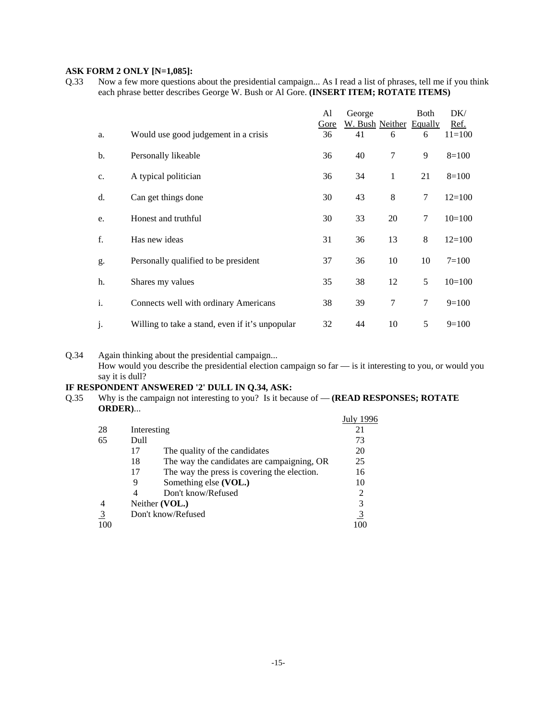## **ASK FORM 2 ONLY [N=1,085]:**

Q.33 Now a few more questions about the presidential campaign... As I read a list of phrases, tell me if you think each phrase better describes George W. Bush or Al Gore. **(INSERT ITEM; ROTATE ITEMS)**

|             |                                                 | Al   | George                  |              | Both | DK/        |
|-------------|-------------------------------------------------|------|-------------------------|--------------|------|------------|
|             |                                                 | Gore | W. Bush Neither Equally |              |      | Ref.       |
| a.          | Would use good judgement in a crisis            | 36   | 41                      | 6            | 6    | $11 = 100$ |
| b.          | Personally likeable                             | 36   | 40                      | 7            | 9    | $8=100$    |
| $C_{\star}$ | A typical politician                            | 36   | 34                      | $\mathbf{1}$ | 21   | $8=100$    |
| d.          | Can get things done                             | 30   | 43                      | 8            | 7    | $12=100$   |
| e.          | Honest and truthful                             | 30   | 33                      | 20           | 7    | $10=100$   |
| f.          | Has new ideas                                   | 31   | 36                      | 13           | 8    | $12=100$   |
| g.          | Personally qualified to be president            | 37   | 36                      | 10           | 10   | $7 = 100$  |
| h.          | Shares my values                                | 35   | 38                      | 12           | 5    | $10=100$   |
| i.          | Connects well with ordinary Americans           | 38   | 39                      | 7            | 7    | $9=100$    |
| j.          | Willing to take a stand, even if it's unpopular | 32   | 44                      | 10           | 5    | $9=100$    |

Q.34 Again thinking about the presidential campaign...

How would you describe the presidential election campaign so far — is it interesting to you, or would you say it is dull?

## **IF RESPONDENT ANSWERED '2' DULL IN Q.34, ASK:**

Q.35 Why is the campaign not interesting to you? Is it because of — **(READ RESPONSES; ROTATE ORDER)**...  $J_{\rm 11}J_{\rm y}$  1006

|     |                                                   | July 1996 |
|-----|---------------------------------------------------|-----------|
| 28  | Interesting                                       | 21        |
| 65  | Dull                                              | 73        |
|     | The quality of the candidates<br>17               | 20        |
|     | The way the candidates are campaigning, OR<br>18  | 25        |
|     | The way the press is covering the election.<br>17 | 16        |
|     | Something else (VOL.)<br>9                        | 10        |
|     | Don't know/Refused<br>4                           | 2         |
|     | Neither (VOL.)                                    | 3         |
|     | Don't know/Refused                                | <u>3</u>  |
| 100 |                                                   |           |
|     |                                                   |           |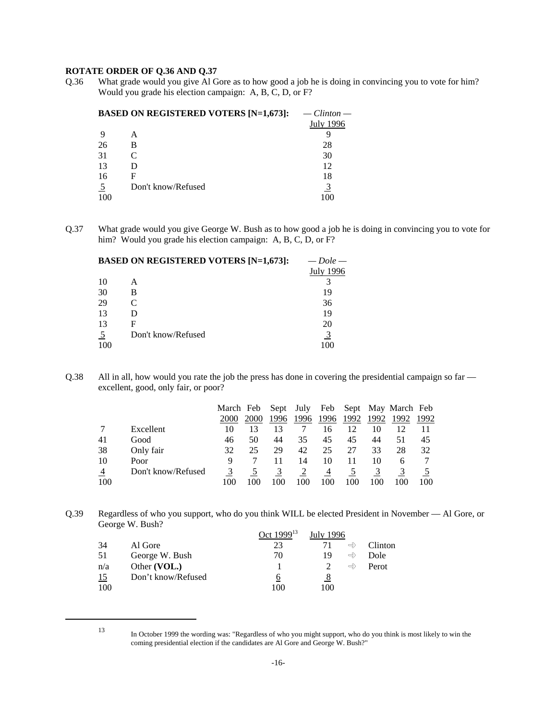## **ROTATE ORDER OF Q.36 AND Q.37**

Q.36 What grade would you give Al Gore as to how good a job he is doing in convincing you to vote for him? Would you grade his election campaign: A, B, C, D, or F?

|     | <b>BASED ON REGISTERED VOTERS [N=1,673]:</b> | $C$ <i>linton</i> — |
|-----|----------------------------------------------|---------------------|
|     |                                              | <b>July 1996</b>    |
|     | А                                            |                     |
| 26  | в                                            | 28                  |
| 31  |                                              | 30                  |
| 13  |                                              | 12                  |
| 16  | F                                            | 18                  |
|     | Don't know/Refused                           | 3                   |
| 100 |                                              | 100                 |

Q.37 What grade would you give George W. Bush as to how good a job he is doing in convincing you to vote for him? Would you grade his election campaign: A, B, C, D, or F?

| <b>BASED ON REGISTERED VOTERS [N=1,673]:</b> | $-$ Dole $-$     |
|----------------------------------------------|------------------|
|                                              | <b>July 1996</b> |
| А                                            |                  |
| в                                            | 19               |
|                                              | 36               |
|                                              | 19               |
| F                                            | 20               |
| Don't know/Refused                           |                  |
|                                              | 100              |
|                                              |                  |

Q.38 All in all, how would you rate the job the press has done in covering the presidential campaign so far excellent, good, only fair, or poor?

|                |                    | March Feb |      |      | Sept July | Feb  |      |      | Sept May March Feb |      |
|----------------|--------------------|-----------|------|------|-----------|------|------|------|--------------------|------|
|                |                    | 2000      | 2000 | 1996 | 1996      | 1996 | 1992 | 1992 | 1992               | 1992 |
|                | Excellent          | 10        | 13   | 13   |           | 16   | 12   | 10   |                    |      |
| 41             | Good               | 46        | 50   | 44   | 35        | 45   | 45   | 44   | 51                 | 45   |
| 38             | Only fair          | 32        | 25   | 29   | 42        | 25   | 27   | 33   | 28                 | 32   |
| 10             | Poor               |           |      |      | 14        | 10   | 11   | 10   | 6                  |      |
| $\overline{4}$ | Don't know/Refused |           |      |      |           | 4    |      |      |                    |      |
| 100            |                    |           |      | 100  | 100       | 100  | 100  | 100  | 100                | 100  |

Q.39 Regardless of who you support, who do you think WILL be elected President in November — Al Gore, or George W. Bush?

|     |                    | Oct 1999 <sup>13</sup> | July 1996 |               |         |
|-----|--------------------|------------------------|-----------|---------------|---------|
| 34  | Al Gore            | 23                     |           | $\Rightarrow$ | Clinton |
| 51  | George W. Bush     | 70                     | 19        | $\Rightarrow$ | Dole    |
| n/a | Other (VOL.)       |                        |           | $\Rightarrow$ | Perot   |
| 15  | Don't know/Refused | 6                      | 8         |               |         |
| 100 |                    | 100                    | 100       |               |         |

<sup>13</sup> In October 1999 the wording was: "Regardless of who you might support, who do you think is most likely to win the coming presidential election if the candidates are Al Gore and George W. Bush?"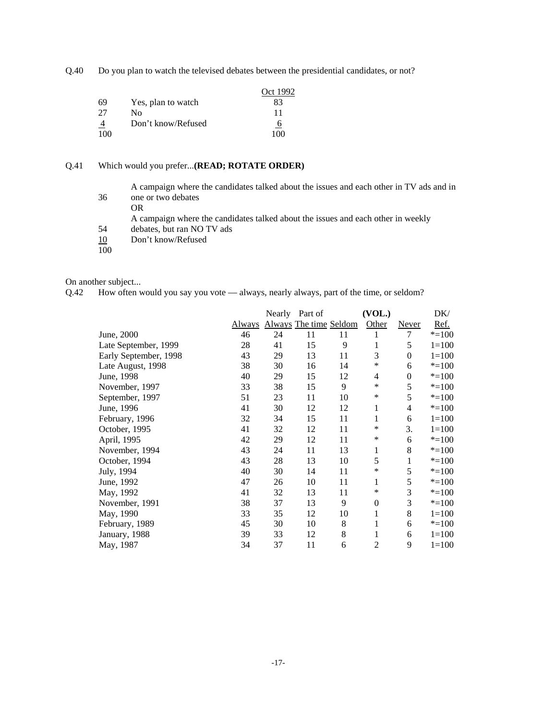Q.40 Do you plan to watch the televised debates between the presidential candidates, or not?

|                |                    | Oct 1992       |
|----------------|--------------------|----------------|
| 69             | Yes, plan to watch | 83             |
| 27             | Nο                 | 11             |
| $\overline{4}$ | Don't know/Refused | $\overline{6}$ |
| 100            |                    | 100            |

#### Q.41 Which would you prefer...**(READ; ROTATE ORDER)**

A campaign where the candidates talked about the issues and each other in TV ads and in 36 one or two debates

OR

A campaign where the candidates talked about the issues and each other in weekly

- 54 debates, but ran NO TV ads
- Don't know/Refused  $\frac{10}{100}$
- 

On another subject...

Q.42 How often would you say you vote — always, nearly always, part of the time, or seldom?

|                       |               |    | Nearly Part of         |    | (VOL.)         |              | DK/       |
|-----------------------|---------------|----|------------------------|----|----------------|--------------|-----------|
|                       | <b>Always</b> |    | Always The time Seldom |    | Other          | <b>Never</b> | Ref.      |
| June, 2000            | 46            | 24 | 11                     | 11 | 1              | 7            | $* = 100$ |
| Late September, 1999  | 28            | 41 | 15                     | 9  | 1              | 5            | $1=100$   |
| Early September, 1998 | 43            | 29 | 13                     | 11 | 3              | $\theta$     | $1 = 100$ |
| Late August, 1998     | 38            | 30 | 16                     | 14 | ∗              | 6            | $* = 100$ |
| June, 1998            | 40            | 29 | 15                     | 12 | $\overline{4}$ | $\mathbf{0}$ | $* = 100$ |
| November, 1997        | 33            | 38 | 15                     | 9  | $\ast$         | 5            | $* = 100$ |
| September, 1997       | 51            | 23 | 11                     | 10 | $\ast$         | 5            | $* = 100$ |
| June, 1996            | 41            | 30 | 12                     | 12 | 1              | 4            | $* = 100$ |
| February, 1996        | 32            | 34 | 15                     | 11 | 1              | 6            | $1 = 100$ |
| October, 1995         | 41            | 32 | 12                     | 11 | ∗              | 3.           | $1 = 100$ |
| April, 1995           | 42            | 29 | 12                     | 11 | ∗              | 6            | $* = 100$ |
| November, 1994        | 43            | 24 | 11                     | 13 | $\mathbf{1}$   | 8            | $* = 100$ |
| October, 1994         | 43            | 28 | 13                     | 10 | 5              | 1            | $* = 100$ |
| July, 1994            | 40            | 30 | 14                     | 11 | ∗              | 5            | $* = 100$ |
| June, 1992            | 47            | 26 | 10                     | 11 | 1              | 5            | $* = 100$ |
| May, 1992             | 41            | 32 | 13                     | 11 | ∗              | 3            | $* = 100$ |
| November, 1991        | 38            | 37 | 13                     | 9  | $\overline{0}$ | 3            | $* = 100$ |
| May, 1990             | 33            | 35 | 12                     | 10 | 1              | 8            | $1 = 100$ |
| February, 1989        | 45            | 30 | 10                     | 8  | 1              | 6            | $* = 100$ |
| January, 1988         | 39            | 33 | 12                     | 8  | 1              | 6            | $1=100$   |
| May, 1987             | 34            | 37 | 11                     | 6  | $\overline{c}$ | 9            | $1 = 100$ |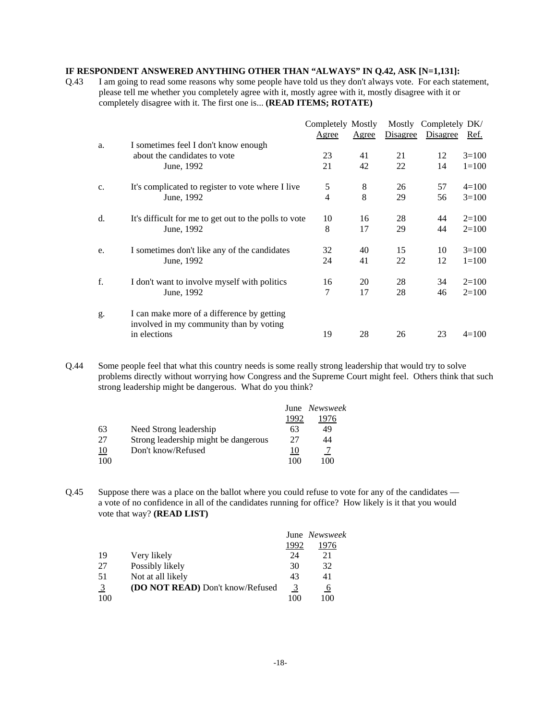## **IF RESPONDENT ANSWERED ANYTHING OTHER THAN "ALWAYS" IN Q.42, ASK [N=1,131]:**

Q.43 I am going to read some reasons why some people have told us they don't always vote. For each statement, please tell me whether you completely agree with it, mostly agree with it, mostly disagree with it or completely disagree with it. The first one is... **(READ ITEMS; ROTATE)**

|    |                                                         | Completely Mostly |       |          | Mostly Completely DK/ |           |
|----|---------------------------------------------------------|-------------------|-------|----------|-----------------------|-----------|
|    |                                                         | Agree             | Agree | Disagree | Disagree              | Ref.      |
| a. | I sometimes feel I don't know enough                    |                   |       |          |                       |           |
|    | about the candidates to vote                            | 23                | 41    | 21       | 12                    | $3=100$   |
|    | June, 1992                                              | 21                | 42    | 22       | 14                    | $1 = 100$ |
| c. | It's complicated to register to vote where I live       | 5                 | 8     | 26       | 57                    | $4=100$   |
|    | June, 1992                                              | 4                 | 8     | 29       | 56                    | $3=100$   |
| d. | It's difficult for me to get out to the polls to vote   | 10                | 16    | 28       | 44                    | $2=100$   |
|    | June, 1992                                              | 8                 | 17    | 29       | 44                    | $2=100$   |
| e. | I sometimes don't like any of the candidates            | 32                | 40    | 15       | 10                    | $3=100$   |
|    | June, 1992                                              | 24                | 41    | 22       | 12                    | $1 = 100$ |
| f. | I don't want to involve myself with politics            | 16                | 20    | 28       | 34                    | $2=100$   |
|    | June, 1992                                              | 7                 | 17    | 28       | 46                    | $2=100$   |
| g. | I can make more of a difference by getting              |                   |       |          |                       |           |
|    | involved in my community than by voting<br>in elections | 19                | 28    | 26       | 23                    | $4=100$   |
|    |                                                         |                   |       |          |                       |           |

Q.44 Some people feel that what this country needs is some really strong leadership that would try to solve problems directly without worrying how Congress and the Supreme Court might feel. Others think that such strong leadership might be dangerous. What do you think?

|           |                                      |      | June Newsweek |
|-----------|--------------------------------------|------|---------------|
|           |                                      | 1992 | 1976          |
| 63        | Need Strong leadership               | 63   | 49            |
| 27        | Strong leadership might be dangerous | 27   | 44            |
| <u>10</u> | Don't know/Refused                   | 10   |               |
| 100       |                                      | 100  | 100           |

Q.45 Suppose there was a place on the ballot where you could refuse to vote for any of the candidates a vote of no confidence in all of the candidates running for office? How likely is it that you would vote that way? **(READ LIST)**

|     |                                         |      | June Newsweek |
|-----|-----------------------------------------|------|---------------|
|     |                                         | 1992 | 1976          |
| 19  | Very likely                             | 24   | 21            |
| 27  | Possibly likely                         | 30   | 32            |
| 51  | Not at all likely                       | 43   | 41            |
| 3   | <b>(DO NOT READ)</b> Don't know/Refused | 3    | 6             |
| 100 |                                         | 100  | 100           |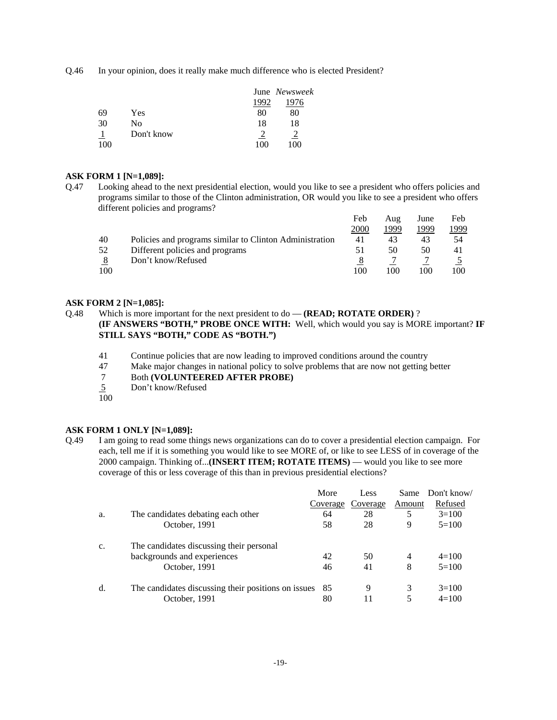Q.46 In your opinion, does it really make much difference who is elected President?

|     |            |      | June Newsweek |  |
|-----|------------|------|---------------|--|
|     |            | 1992 | 1976          |  |
| 69  | Yes        | 80   | 80            |  |
| 30  | No         | 18   | 18            |  |
|     | Don't know |      |               |  |
| 100 |            |      | M             |  |

#### **ASK FORM 1 [N=1,089]:**

Q.47 Looking ahead to the next presidential election, would you like to see a president who offers policies and programs similar to those of the Clinton administration, OR would you like to see a president who offers different policies and programs?

|     |                                                         | Feb  | Aug  | June | Feb          |
|-----|---------------------------------------------------------|------|------|------|--------------|
|     |                                                         | 2000 | 1999 | 1999 | <u> 1999</u> |
| 40  | Policies and programs similar to Clinton Administration | 41   | 43   | 43   | 54           |
| 52  | Different policies and programs                         | 51   | 50   | 50   | 41           |
|     | Don't know/Refused                                      |      |      |      |              |
| 100 |                                                         | 100  | 100  | 100  | 100          |

#### **ASK FORM 2 [N=1,085]:**

Q.48 Which is more important for the next president to do — **(READ; ROTATE ORDER)** ? **(IF ANSWERS "BOTH," PROBE ONCE WITH:** Well, which would you say is MORE important? **IF STILL SAYS "BOTH," CODE AS "BOTH.")**

- 41 Continue policies that are now leading to improved conditions around the country
- 47 Make major changes in national policy to solve problems that are now not getting better
- 7 Both **(VOLUNTEERED AFTER PROBE)**
- 5 Don't know/Refused
- $\overline{100}$

## **ASK FORM 1 ONLY [N=1,089]:**

Q.49 I am going to read some things news organizations can do to cover a presidential election campaign. For each, tell me if it is something you would like to see MORE of, or like to see LESS of in coverage of the 2000 campaign. Thinking of...**(INSERT ITEM; ROTATE ITEMS)** — would you like to see more coverage of this or less coverage of this than in previous presidential elections?

|    |                                                     | More     | Less     | Same   | Don't know/ |
|----|-----------------------------------------------------|----------|----------|--------|-------------|
|    |                                                     | Coverage | Coverage | Amount | Refused     |
| a. | The candidates debating each other                  | 64       | 28       | 5      | $3=100$     |
|    | October, 1991                                       | 58       | 28       | 9      | $5=100$     |
| c. | The candidates discussing their personal            |          |          |        |             |
|    | backgrounds and experiences                         | 42       | 50       | 4      | $4=100$     |
|    | October, 1991                                       | 46       | 41       | 8      | $5=100$     |
| d. | The candidates discussing their positions on issues | 85       | 9        | 3      | $3=100$     |
|    | October, 1991                                       | 80       |          | 5      | $4=100$     |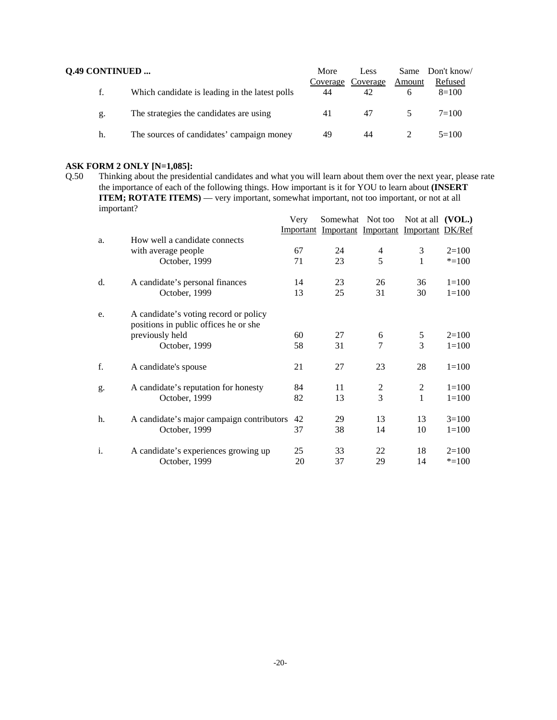| <b>Q.49 CONTINUED </b> |                                                | More | Less                    |        | Same Don't know/   |
|------------------------|------------------------------------------------|------|-------------------------|--------|--------------------|
| t.                     | Which candidate is leading in the latest polls | 44   | Coverage Coverage<br>42 | Amount | Refused<br>$8=100$ |
| g.                     | The strategies the candidates are using        | 41   | 47                      |        | $7 = 100$          |
| h.                     | The sources of candidates' campaign money      | 49   | 44                      |        | $5=100$            |

**ASK FORM 2 ONLY [N=1,085]:**<br>Q.50 Thinking about the preside Thinking about the presidential candidates and what you will learn about them over the next year, please rate the importance of each of the following things. How important is it for YOU to learn about **(INSERT ITEM; ROTATE ITEMS**) — very important, somewhat important, not too important, or not at all important?

|    |                                                                                | Very | Somewhat Not too                               |                | Not at all $(VOL.)$ |           |
|----|--------------------------------------------------------------------------------|------|------------------------------------------------|----------------|---------------------|-----------|
|    |                                                                                |      | Important Important Important Important DK/Ref |                |                     |           |
| a. | How well a candidate connects<br>with average people                           | 67   | 24                                             | 4              | 3                   | $2=100$   |
|    | October, 1999                                                                  | 71   | 23                                             | 5              | 1                   | $* = 100$ |
|    |                                                                                |      |                                                |                |                     |           |
| d. | A candidate's personal finances                                                | 14   | 23                                             | 26             | 36                  | $1 = 100$ |
|    | October, 1999                                                                  | 13   | 25                                             | 31             | 30                  | $1 = 100$ |
| e. | A candidate's voting record or policy<br>positions in public offices he or she |      |                                                |                |                     |           |
|    | previously held                                                                | 60   | 27                                             | 6              | 5                   | $2=100$   |
|    | October, 1999                                                                  | 58   | 31                                             | 7              | 3                   | $1 = 100$ |
| f. | A candidate's spouse                                                           | 21   | 27                                             | 23             | 28                  | $1=100$   |
| g. | A candidate's reputation for honesty                                           | 84   | 11                                             | 2              | 2                   | $1 = 100$ |
|    | October, 1999                                                                  | 82   | 13                                             | $\overline{3}$ | 1                   | $1 = 100$ |
| h. | A candidate's major campaign contributors                                      | 42   | 29                                             | 13             | 13                  | $3=100$   |
|    | October, 1999                                                                  | 37   | 38                                             | 14             | 10                  | $1=100$   |
| i. | A candidate's experiences growing up                                           | 25   | 33                                             | 22             | 18                  | $2=100$   |
|    | October, 1999                                                                  | 20   | 37                                             | 29             | 14                  | $* = 100$ |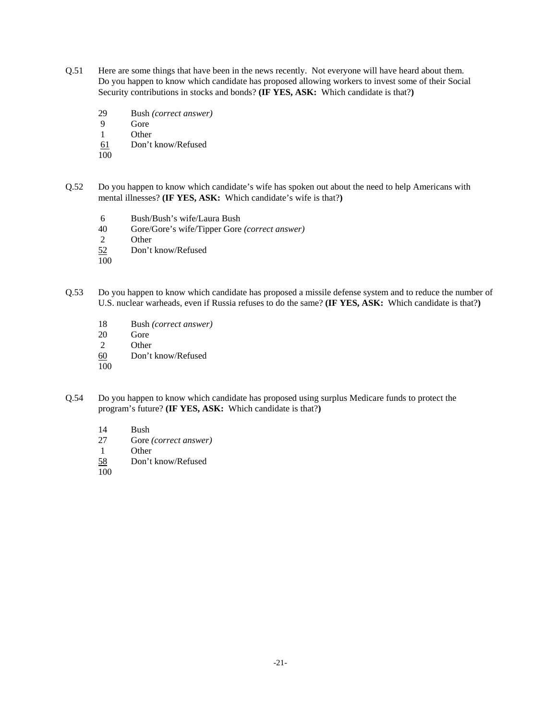- Q.51 Here are some things that have been in the news recently. Not everyone will have heard about them. Do you happen to know which candidate has proposed allowing workers to invest some of their Social Security contributions in stocks and bonds? **(IF YES, ASK:** Which candidate is that?**)**
	- 29 Bush *(correct answer)*
	- 9 Gore
	- 1 Other
	- 61 Don't know/Refused
	- 100
- Q.52 Do you happen to know which candidate's wife has spoken out about the need to help Americans with mental illnesses? **(IF YES, ASK:** Which candidate's wife is that?**)**
	- 6 Bush/Bush's wife/Laura Bush
	- 40 Gore/Gore's wife/Tipper Gore *(correct answer)*
	- **Other**
	- 52 Don't know/Refused
	- 100
- Q.53 Do you happen to know which candidate has proposed a missile defense system and to reduce the number of U.S. nuclear warheads, even if Russia refuses to do the same? **(IF YES, ASK:** Which candidate is that?**)**
	- 18 Bush *(correct answer)*
	- 20 Gore<br>2 Other
	- **Other**
	- 60 Don't know/Refused
	- 100
- Q.54 Do you happen to know which candidate has proposed using surplus Medicare funds to protect the program's future? **(IF YES, ASK:** Which candidate is that?**)**
	- 14 Bush
	- 27 Gore *(correct answer)*
	- 1 Other
	- 58 Don't know/Refused
	- 100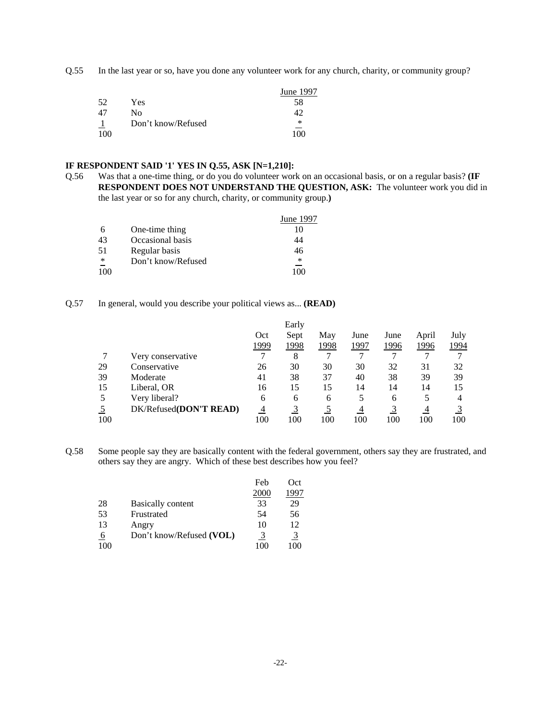Q.55 In the last year or so, have you done any volunteer work for any church, charity, or community group?

|     |                    | June 1997 |
|-----|--------------------|-----------|
| 52  | Yes                | 58        |
| 47  | Nο                 |           |
|     | Don't know/Refused | ∗         |
| 100 |                    | 1 በበ      |

#### **IF RESPONDENT SAID '1' YES IN Q.55, ASK [N=1,210]:**

Q.56 Was that a one-time thing, or do you do volunteer work on an occasional basis, or on a regular basis? **(IF RESPONDENT DOES NOT UNDERSTAND THE QUESTION, ASK:** The volunteer work you did in the last year or so for any church, charity, or community group.**)**

|     |                    | June 1997 |
|-----|--------------------|-----------|
| 6   | One-time thing     |           |
| 43  | Occasional basis   | 14        |
| 51  | Regular basis      | 46        |
| ∗   | Don't know/Refused | *         |
| 100 |                    | 1 በበ      |

#### Q.57 In general, would you describe your political views as... **(READ)**

|                |                        |                | Early |      |      |      |       |      |
|----------------|------------------------|----------------|-------|------|------|------|-------|------|
|                |                        | Oct            | Sept  | May  | June | June | April | July |
|                |                        | 1999           | 1998  | 1998 | 1997 | 1996 | 1996  | 1994 |
|                | Very conservative      |                | 8     |      |      |      |       |      |
| 29             | Conservative           | 26             | 30    | 30   | 30   | 32   | 31    | 32   |
| 39             | Moderate               | 41             | 38    | 37   | 40   | 38   | 39    | 39   |
| 15             | Liberal, OR            | 16             | 15    | 15   | 14   | 14   | 14    | 15   |
| 5              | Very liberal?          | 6              | 6     | 6    | 5    | 6    |       | 4    |
| $\overline{5}$ | DK/Refused(DON'T READ) | $\overline{4}$ |       |      | 4    |      | 4     |      |
| 100            |                        | 100            | 100   | 100  | 100  | 100  | 100   | 100  |

Q.58 Some people say they are basically content with the federal government, others say they are frustrated, and others say they are angry. Which of these best describes how you feel?

|           |                          | Feb  | Oct   |
|-----------|--------------------------|------|-------|
|           |                          | 2000 | 997   |
| 28        | <b>Basically content</b> | 33   | 29    |
| 53        | Frustrated               | 54   | 56    |
| 13        | Angry                    | 10   | 12    |
| <u>_6</u> | Don't know/Refused (VOL) | 3    | 3     |
|           |                          | (0)  | 1 O C |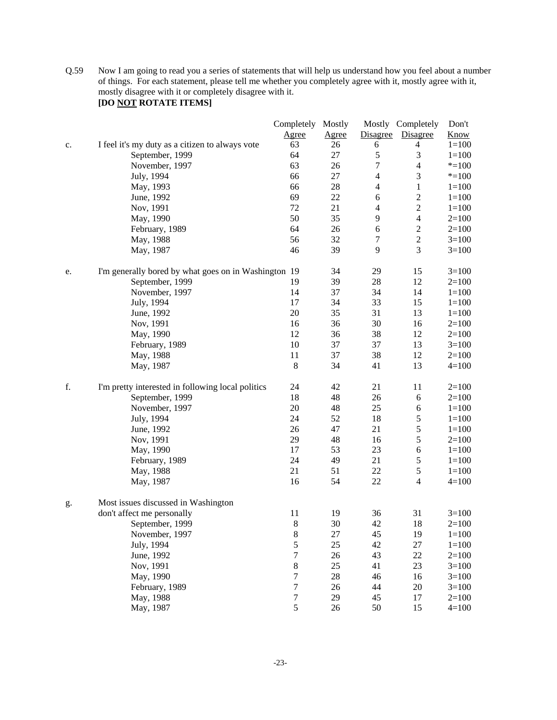Q.59 Now I am going to read you a series of statements that will help us understand how you feel about a number of things. For each statement, please tell me whether you completely agree with it, mostly agree with it, mostly disagree with it or completely disagree with it.

# **[DO NOT ROTATE ITEMS]**

|    |                                                      | Completely Mostly |              |                | Mostly Completely | Don't       |
|----|------------------------------------------------------|-------------------|--------------|----------------|-------------------|-------------|
|    |                                                      | Agree             | <b>Agree</b> | Disagree       | Disagree          | <b>Know</b> |
| c. | I feel it's my duty as a citizen to always vote      | 63                | 26           | 6              | 4                 | $1 = 100$   |
|    | September, 1999                                      | 64                | 27           | $\mathfrak s$  | 3                 | $1 = 100$   |
|    | November, 1997                                       | 63                | 26           | $\tau$         | $\overline{4}$    | $* = 100$   |
|    | July, 1994                                           | 66                | 27           | $\overline{4}$ | $\mathfrak{Z}$    | $* = 100$   |
|    | May, 1993                                            | 66                | 28           | $\overline{4}$ | $\mathbf{1}$      | $1 = 100$   |
|    | June, 1992                                           | 69                | 22           | 6              | $\sqrt{2}$        | $1 = 100$   |
|    | Nov, 1991                                            | 72                | 21           | $\overline{4}$ | $\sqrt{2}$        | $1 = 100$   |
|    | May, 1990                                            | 50                | 35           | $\overline{9}$ | $\overline{4}$    | $2=100$     |
|    | February, 1989                                       | 64                | 26           | $\sqrt{6}$     | $\boldsymbol{2}$  | $2=100$     |
|    | May, 1988                                            | 56                | 32           | $\tau$         | $\sqrt{2}$        | $3=100$     |
|    | May, 1987                                            | 46                | 39           | 9              | 3                 | $3=100$     |
| e. | I'm generally bored by what goes on in Washington 19 |                   | 34           | 29             | 15                | $3=100$     |
|    | September, 1999                                      | 19                | 39           | 28             | 12                | $2=100$     |
|    | November, 1997                                       | 14                | 37           | 34             | 14                | $1 = 100$   |
|    | July, 1994                                           | 17                | 34           | 33             | 15                | $1 = 100$   |
|    | June, 1992                                           | 20                | 35           | 31             | 13                | $1 = 100$   |
|    | Nov, 1991                                            | 16                | 36           | 30             | 16                | $2=100$     |
|    | May, 1990                                            | 12                | 36           | 38             | 12                | $2=100$     |
|    | February, 1989                                       | 10                | 37           | 37             | 13                | $3=100$     |
|    | May, 1988                                            | 11                | 37           | 38             | 12                | $2=100$     |
|    | May, 1987                                            | 8                 | 34           | 41             | 13                | $4 = 100$   |
| f. | I'm pretty interested in following local politics    | 24                | 42           | 21             | 11                | $2=100$     |
|    | September, 1999                                      | 18                | 48           | 26             | $\sqrt{6}$        | $2=100$     |
|    | November, 1997                                       | 20                | 48           | 25             | $\sqrt{6}$        | $1 = 100$   |
|    | July, 1994                                           | 24                | 52           | 18             | $\mathfrak s$     | $1 = 100$   |
|    | June, 1992                                           | 26                | 47           | 21             | $\mathfrak s$     | $1 = 100$   |
|    | Nov, 1991                                            | 29                | 48           | 16             | $\mathfrak s$     | $2=100$     |
|    | May, 1990                                            | 17                | 53           | 23             | 6                 | $1 = 100$   |
|    | February, 1989                                       | 24                | 49           | 21             | $\sqrt{5}$        | $1 = 100$   |
|    | May, 1988                                            | 21                | 51           | 22             | $\sqrt{5}$        | $1 = 100$   |
|    | May, 1987                                            | 16                | 54           | 22             | $\overline{4}$    | $4 = 100$   |
| g. | Most issues discussed in Washington                  |                   |              |                |                   |             |
|    | don't affect me personally                           | 11                | 19           | 36             | 31                | $3=100$     |
|    | September, 1999                                      | 8                 | 30           | 42             | 18                | $2=100$     |
|    | November, 1997                                       | $\,8$             | 27           | 45             | 19                | $1 = 100$   |
|    | July, 1994                                           | 5                 | 25           | 42             | 27                | $1 = 100$   |
|    | June, 1992                                           | $\overline{7}$    | $26\,$       | 43             | 22                | $2=100$     |
|    | Nov, 1991                                            | $8\,$             | 25           | 41             | 23                | $3 = 100$   |
|    | May, 1990                                            | $\boldsymbol{7}$  | 28           | 46             | 16                | $3=100$     |
|    | February, 1989                                       | $\boldsymbol{7}$  | 26           | 44             | 20                | $3 = 100$   |
|    | May, 1988                                            | $\boldsymbol{7}$  | 29           | 45             | 17                | $2=100$     |
|    | May, 1987                                            | 5                 | 26           | 50             | 15                | $4 = 100$   |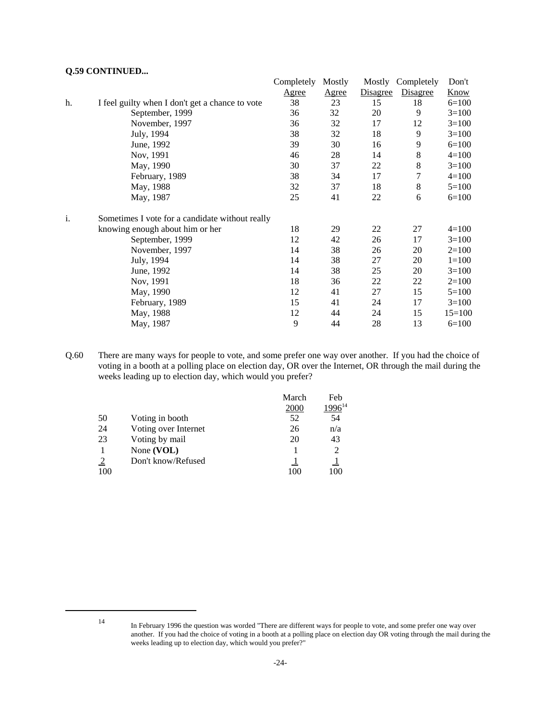## **Q.59 CONTINUED...**

|    |                                                 | Completely   | Mostly       | Mostly   | Completely      | Don't       |
|----|-------------------------------------------------|--------------|--------------|----------|-----------------|-------------|
|    |                                                 | <u>Agree</u> | <u>Agree</u> | Disagree | <b>Disagree</b> | <b>Know</b> |
| h. | I feel guilty when I don't get a chance to vote | 38           | 23           | 15       | 18              | $6=100$     |
|    | September, 1999                                 | 36           | 32           | 20       | 9               | $3=100$     |
|    | November, 1997                                  | 36           | 32           | 17       | 12              | $3=100$     |
|    | July, 1994                                      | 38           | 32           | 18       | 9               | $3=100$     |
|    | June, 1992                                      | 39           | 30           | 16       | 9               | $6=100$     |
|    | Nov, 1991                                       | 46           | 28           | 14       | 8               | $4=100$     |
|    | May, 1990                                       | 30           | 37           | 22       | $\,8$           | $3=100$     |
|    | February, 1989                                  | 38           | 34           | 17       | 7               | $4=100$     |
|    | May, 1988                                       | 32           | 37           | 18       | 8               | $5=100$     |
|    | May, 1987                                       | 25           | 41           | 22       | 6               | $6=100$     |
| i. | Sometimes I vote for a candidate without really |              |              |          |                 |             |
|    | knowing enough about him or her                 | 18           | 29           | 22       | 27              | $4=100$     |
|    | September, 1999                                 | 12           | 42           | 26       | 17              | $3=100$     |
|    | November, 1997                                  | 14           | 38           | 26       | 20              | $2=100$     |
|    | July, 1994                                      | 14           | 38           | 27       | 20              | $1=100$     |
|    | June, 1992                                      | 14           | 38           | 25       | 20              | $3=100$     |
|    | Nov, 1991                                       | 18           | 36           | 22       | 22              | $2=100$     |
|    | May, 1990                                       | 12           | 41           | 27       | 15              | $5=100$     |
|    | February, 1989                                  | 15           | 41           | 24       | 17              | $3=100$     |
|    | May, 1988                                       | 12           | 44           | 24       | 15              | $15=100$    |
|    | May, 1987                                       | 9            | 44           | 28       | 13              | $6=100$     |

Q.60 There are many ways for people to vote, and some prefer one way over another. If you had the choice of voting in a booth at a polling place on election day, OR over the Internet, OR through the mail during the weeks leading up to election day, which would you prefer?

|                |                      | March | Feb         |
|----------------|----------------------|-------|-------------|
|                |                      | 2000  | $.996^{14}$ |
| 50             | Voting in booth      | 52    | 54          |
| 24             | Voting over Internet | 26    | n/a         |
| 23             | Voting by mail       | 20    | 43          |
|                | None (VOL)           |       |             |
| $\overline{2}$ | Don't know/Refused   |       |             |
| 100            |                      | 100   |             |

<sup>14</sup> In February 1996 the question was worded "There are different ways for people to vote, and some prefer one way over another. If you had the choice of voting in a booth at a polling place on election day OR voting through the mail during the weeks leading up to election day, which would you prefer?"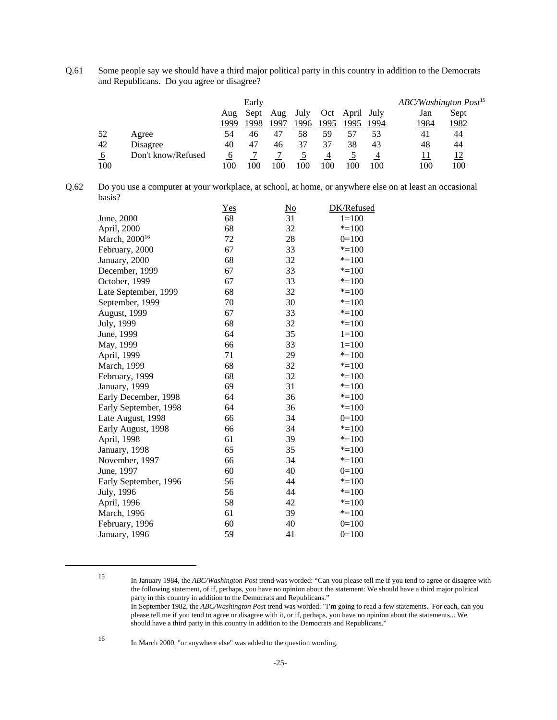Q.61 Some people say we should have a third major political party in this country in addition to the Democrats and Republicans. Do you agree or disagree?

|     |                    |      | Early |      |      |      |            |      | ABC/Washington Post <sup>15</sup> |      |  |
|-----|--------------------|------|-------|------|------|------|------------|------|-----------------------------------|------|--|
|     |                    | Aug  | Sept  | Aug  | July | Oct  | April July |      | Jan                               | Sept |  |
|     |                    | 1999 | 1998  | 1997 | 1996 | 1995 | 1995       | 1994 | 1984                              | 1982 |  |
| 52  | Agree              | 54   | 46    | 47   | 58   | 59   |            | 53   | 41                                | 44   |  |
| 42  | Disagree           | 40   | 47    | 46   | 37   | 37   | 38         | 43   | 48                                | 44   |  |
| 6   | Don't know/Refused | O    |       |      |      |      |            |      | 11                                | 12   |  |
| 100 |                    | 100  | 100   | 100  | 100  | 100  | 100        | 100  | 100                               | 100  |  |

| Q.62 | Do you use a computer at your workplace, at school, at home, or anywhere else on at least an occasional |
|------|---------------------------------------------------------------------------------------------------------|
|      | basis?                                                                                                  |

|                           | $Yes$ | $\overline{\text{No}}$ | DK/Refused |
|---------------------------|-------|------------------------|------------|
| June, 2000                | 68    | 31                     | $1 = 100$  |
| April, 2000               | 68    | 32                     | $* = 100$  |
| March, 2000 <sup>16</sup> | 72    | 28                     | $0=100$    |
| February, 2000            | 67    | 33                     | $* = 100$  |
| January, 2000             | 68    | 32                     | $* = 100$  |
| December, 1999            | 67    | 33                     | $* = 100$  |
| October, 1999             | 67    | 33                     | $* = 100$  |
| Late September, 1999      | 68    | 32                     | $* = 100$  |
| September, 1999           | 70    | 30                     | $* = 100$  |
| <b>August, 1999</b>       | 67    | 33                     | $* = 100$  |
| July, 1999                | 68    | 32                     | $* = 100$  |
| June, 1999                | 64    | 35                     | $1=100$    |
| May, 1999                 | 66    | 33                     | $1 = 100$  |
| April, 1999               | 71    | 29                     | $* = 100$  |
| March, 1999               | 68    | 32                     | $* = 100$  |
| February, 1999            | 68    | 32                     | $* = 100$  |
| January, 1999             | 69    | 31                     | $* = 100$  |
| Early December, 1998      | 64    | 36                     | $* = 100$  |
| Early September, 1998     | 64    | 36                     | $* = 100$  |
| Late August, 1998         | 66    | 34                     | $0=100$    |
| Early August, 1998        | 66    | 34                     | $* = 100$  |
| April, 1998               | 61    | 39                     | $* = 100$  |
| January, 1998             | 65    | 35                     | $* = 100$  |
| November, 1997            | 66    | 34                     | $* = 100$  |
| June, 1997                | 60    | 40                     | $0=100$    |
| Early September, 1996     | 56    | 44                     | $* = 100$  |
| July, 1996                | 56    | 44                     | $* = 100$  |
| April, 1996               | 58    | 42                     | $* = 100$  |
| March, 1996               | 61    | 39                     | $* = 100$  |
| February, 1996            | 60    | 40                     | $0=100$    |
| January, 1996             | 59    | 41                     | $0=100$    |

<sup>16</sup> In March 2000, "or anywhere else" was added to the question wording.

<sup>15</sup> In January 1984, the *ABC/Washington Post* trend was worded: "Can you please tell me if you tend to agree or disagree with the following statement, of if, perhaps, you have no opinion about the statement: We should have a third major political party in this country in addition to the Democrats and Republicans." In September 1982, the *ABC/Washington Post* trend was worded: "I'm going to read a few statements. For each, can you

please tell me if you tend to agree or disagree with it, or if, perhaps, you have no opinion about the statements... We should have a third party in this country in addition to the Democrats and Republicans."